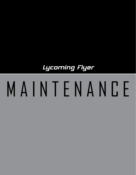Lycoming Flyer

# M A I N T E N A N C E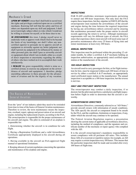## Mechanic's Creed

UPON MY HONOR I swear that I shall hold in sacred trust the rights and privileges conferred upon me as a certified mechanic. Knowing full well that the safety and lives of others are dependent upon my skill and judgment, I shall never knowingly subject others to risks which I would not be willing to assume for myself, or for those dear to me.

**IN DISCHARGING** this trust, I pledge myself never to undertake work or approve work which I feel to be beyond the limits of my knowledge; nor shall I allow any noncertified superior to persuade me to approve aircraft or equipment as airworthy against my better judgment; nor shall I permit my judgment to be influenced by money or other personal gain; nor shall I pass as airworthy aircraft or equipment about which I am in doubt, either as a result of direct inspection or uncertainty regarding the ability of others who have worked on it to accomplish their work satisfactorily.

**I REALIZE** the grave responsibility which is mine as a certified airman, to exercise my judgment on the airworthiness of aircraft and equipment. I, therefore, pledge unyielding adherence to these precepts for the advancement of aviation and for the dignity of my vocation.

## The Basics of Maintenance in General Aviation

Even the "pros" of our industry admit they need to be reminded from time to time of the basics of General Aviation maintenance. Therefore to review, the term maintenance means the inspection, overhaul, repair, upkeep and preservation of an aircraft and engine, including the replacement of parts, according to the FAA. The owner/operator is responsible for the proper maintenance of his aircraft and engine. The pilot in command of an airplane is responsible for:

1. Determining whether the aircraft is in condition for safe flight.

2. Having a Registration Certificate and a valid Airworthiness Certificate appropriately displayed in his aircraft during all operations.

3. Having available in the aircraft an FAA-approved flight manual or operational limitations.

4. Keeping abreast of current regulations concerning the operation and maintenance of his airplane and engine.

#### INSPECTIONS

FAR 91.409 establishes minimum requirements pertaining to annual and 100-hour inspections. Not only does the FAA require these inspections, but they stipulate in FAR 91.405 that the owner/operator must maintain the airworthiness of the aircraft and engine during the time between the required inspections by having any airworthiness defects corrected and by ensuring that maintenance personnel make the proper entries in aircraft records approving the return to service. Although maintenance requirements will vary for different types of aircraft, the FAA states that experience shows most aircraft will need some type of preventive maintenance after every 25 hours of flying time and minor maintenance at least every 100 hours.

#### ANNUAL INSPECTION

This inspection must be performed within the preceding 12 calendar months, by either a certified A & P mechanic holding an inspection authorization, an appropriately rated certified repair station or the manufacturer of the aircraft.

#### 100-HOUR INSPECTION

An aircraft used to carry passengers for hire, or for flight instruction for hire, must be inspected within each 100 hours of time in service by either a certified A & P mechanic, an appropriately rated certificated repair station or the manufacturer. The annual inspection is acceptable as a 100-hour inspection, but the reverse is not true.

#### DAILY AND PREFLIGHT INSPECTION

The owner/operator may conduct a daily inspection, if so desired, but the pilot must perform a satisfactory preflight inspection before flight in order to determine that the aircraft is airworthy.

#### AIRWORTHINESS DIRECTIVES

Airworthiness Directives, commonly referred to as "AD Notes," provide aircraft owners with information of unsafe conditions. The ADs specify the aircraft or component found to be unsafe by the FAA, and the conditions, limitations or inspections, if any, under which the aircraft may continue to be operated.

The Federal Aviation Regulation requires a presentation showing the current status of applicable airworthiness directives, including the method of compliance, and the signature and certificate number of the mechanic or repair agency who complied with the AD.

It is the aircraft owner/operator's mandatory responsibility to assure compliance with all pertinent AD notes. This includes those ADs of a recurrent or repetitive nature; for example, an AD may require a certain inspection every 100 hours. This meansthat the particular inspection shall be made and recorded after every 100 hours of flight time.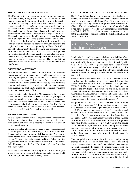#### MANUFACTURER'S SERVICE BULLETINS

The FAA states that whenever an aircraft or engine manufacturer determines, through service experience, that its product may be improved by some modification, or that the service life of its product may be extended by some particular maintenance or repair, that manufacturer may issue a service bulletin. The latter will tell what the trouble is and how to remedy it. The service bulletin is mandatory because it supplements the manufacturer's maintenance manual that is required by FARs. The service bulletin usually addresses those items that affect safety of flight. The Lycoming overhaul manual and all applicable service bulletins and service instructions, used in conjunction with the appropriate operator's manuals, constitute the engine maintenance manual required by the FAA / FAR 43.13. In addition to service bulletins, Lycoming also publishes service instructions and service letters. A service instruction is product information that also becomes a part of the manufacturer maintenance manual, and therefore compliance with these publications by owners and operators is required. The service letter at Lycoming is product information which can be optional to the pilot/owner.

#### PREVENTIVE MAINTENANCE

Preventive maintenance means simple or minor preservation operations and the replacement of small standard parts not involving complex assembly operations. The holder of a pilot certificate issued under FAR 61 may perform preventive maintenance on any aircraft owned or operated by the pilot that is not used in air carrier service or air taxi. All other maintenance, repairs, rebuilding or alternations must be performed by persons authorized to do so by the FAA.

Except as noted under "Preventive Maintenance," all repairs and alterations are classed as either Major or Minor. Major repairs or alterations must be approved and returned to service by an appropriately rated certified repair facility, an A & P mechanic holding an Inspection Authorization or a representative of the FAA. Minor repairs and alterations may be returned to service by an appropriately rated certified A & P mechanic or repair facility.

#### PROGRESSIVE MAINTENANCE

This is a continuous maintenance program whereby the required FAA and manufacturer inspections are accomplished during the most convenient time, while keeping the aircraft in a state of continuous airworthiness.

Several General Aviation airframe manufacturers have established sound Progressive Maintenance programs with FAA approval. Owners and operators are reminded that certain FAA requirements must be met before a Progressive Maintenance program can be used. These requirements are contained in the Federal Aviation Regulations, Part 43, "Maintenance, Preventive Maintenance, Rebuilding and Alteration," and Part 91.409, "General Operating and Flight Rules."

The Progressive Maintenance program has had more appeal where planes for hire are involved (i.e., commuter, air taxi, flight instruction), rather than those privately owned.

#### AIRCRAFT FLIGHT TEST AFTER REPAIR OR ALTERATION

The FAA reminds us that whenever a repair or alteration has been made to your aircraft or engine, the person authorized to return the aircraft to service should decide if the flight characteristics have changed or if operation in flight has been substantially affected. If the decision is affirmative, the aircraft must be flight tested before it may be used to carry passengers in accordance with FAR 91.407. The test pilot must make an operational check of the maintenance performed and log the flight and findings in the aircraft records.

Ask About Reference Publications Before Your Engine is Taken Apart

People who fly should be concerned about the reliability of the aircraft they fly and the engine that powers that aircraft. One key to reliability is regular maintenance by a knowledgeable A & P mechanic. "Knowledgeable" does not necessarily mean the mechanic must have every detail of every job locked in his or her memory. It does mean that the individual should have relevant information readily available and be able to refer to it as needed.

What has been stated above is not just good common sense; it is the law. Aviation mechanics are licensed (certified in aviation terms) under Part 65 of the Code of Federal Air Regulations (FAR). FAR 65.81 (b) states: "A certificated mechanic may not exercise the privileges of his certificate and rating unless he understands the current instructions of the manufacturer, and the maintenance manuals, for the specific operation concerned. Is it possible for anyone to understand current instructions or maintenance manuals if they are not available for reference?

The point which a concerned pilot owner should be thinking about is this  $-$  does my A & P mechanic or maintenance shop have appropriate maintenance publications available for reference? While many maintenance activities do maintain a good reference library, others certainly do not. This can be easily determined from the questions that are asked of Lycoming service representatives who continuously respond to phone calls for help. While the service personnel who are available to provide help when troubleshooting does not readily reveal the source of, or solution to, a problem, their time is being wasted when they are asked to dig out information for a mechanic who has not made the effort to acquire required reference materials. Without these reference materials, the quality of maintenance is open to question.

How can publications that apply to Lycoming reciprocating engines be obtained — and which ones are needed? Starting with the last question, an operator's manual should have enough information to satisfy the needs of the engine owner or pilot. For the maintenance person, what is needed depends on the depth of maintenance to be performed and the particular engine models to be maintained. Once these items have been determined, the latest revision of Lycoming Service Letter No. L114 and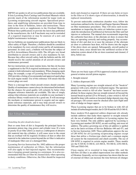SSP303 are guides to all service publications that are available. It lists Lycoming Parts Catalogs and Overhaul Manuals which provide much of the information needed for major work on Lycoming reciprocating aircraft engines. Specialized procedures and amplifying information are provided from time to time in the form of bulletins, letters and instructions. These publications serve as supplements to the Overhaul Manual. Without these publications to provide the latest data published by the manufacturer, the A  $\&$  P mechanic may not be reminded of a required inspection or may be unaware of a new and helpful maintenance technique.

Service bulletins are manufacturer publications that are likely to affect safety of flight. Therefore, a bulletin should be considered to be mandatory by every aircraft owner and by all maintenance personnel. In some cases, a bulletin will become the subject of an FAA Airworthiness Directive (AD). The AD gets very broad distribution to aircraft owners and is also mandatory by law. Because they affect aircraft safety, both the bulletin and the AD should receive the careful attention of all aircraft owners and maintenance personnel.

Service instructions are more routine items, but they do become a supplement to the FAA-required maintenance manual, so their content is both informative and mandatory. When changing spark plugs, for example, a copy of Lycoming Service Instruction No. 1042 provides a listing of recommended and approved spark plugs for each engine model. Use of this reference will ensure that the correct plugs are used.

There is a message here which aircraft owners should consider. Quality of maintenance cannot always be determined beforehand, but the chances for good quality will certainly be better when adequate reference materials are available. The idea of simply asking what reference materials are available in your mechanic's reference library would seem to be a good one. It will encourage the mechanic or maintenance person to acquire and use appropriate reference materials, and it may help aircraft owners to determine the quality of maintenance they will receive.

## Air Filter Maintenance

#### *(Something the pilot should also know)*

Dust or some form of dirt is frequently the principal factor in premature piston ring, ring groove and cylinder wear. If a worn or poorly fit air filter allows as much as a tablespoon of abrasive dirt material into the cylinders, it will cause wear to the extent that an overhaul will be required. Evidence of dust or other dirt material in the induction system beyond the air filter is indicative of inadequate filter care or a damaged filter.

Lycoming Service Instruction No. 1002 addresses the proper maintenance of carburetor air filters, but the information will also apply to fuel-injected engines. One recommendation is keeping ground running to a minimum. It is also recommended that the air filter be cleaned daily when operating in dusty conditions. Otherwise, the filter should be inspected

daily and cleaned as required. If there are any holes or tears in the filter or if it shows signs of deterioration, it should be replaced immediately.

To prevent undesirable combustion chamber wear, follow the instructions outlined in the Aircraft and Engine Operator Manuals on filter maintenance procedures. They will stress such recommendations as inspecting the entire air induction system to preclude the introduction of unfiltered air between the filter and fuel injector or carburetor. The manual also recommends inspecting the carburetor heat door, or the alternate air door, to ensure that they are operating correctly and sealing properly. Any accumulation of dirt and dust in or near the entrance of the alternate air door or carburetor heat door, will be drawn into the engine if the above doors are opened. Subsequently, aircraft parked or stored in dusty areas should have the unfiltered section of the induction system ahead of the air door examined and cleaned, if dirty, before use.

## **Oil and Your Engine**

There are two basic types of FAA-approved aviation oils used in general aviation aircraft piston engines.

- 1. Straight mineral
- 2. Ashless dispersant (AD)

Many Lycoming engines use straight mineral oil for "break-in" purposes with a new, rebuilt or overhauled engine. The operators should then switch to AD oil after "break-in" has been accomplished. In those engines that use straight mineral oil beyond the normal break-in period (25 to 50 hours), a later switch to AD oil should be done with caution as loosened sludge deposits may clog oil passages. Oil screens must be checked after each flight until clots of sludge no longer appear.

Those Lycoming engines that are to be broken in with AD oil include all turbocharged models, the O-320-H and the O/LO-360-E.

Since modern FAA-approved ashless dispersant oils already include additives that make them superior to straight mineral oil, the use of additional oil additives in Lycoming engines has been very limited. The only additive approved by Lycoming is Lycoming part number LW-16702, an anti-scuffing, anti-wear oil additive. The policy governing use of this oil additive is spelled out in the latest revisions of Service Bulletins 446 and 471, and in Service Instruction 1409. These publications approve the use of LW-16702 for all Lycoming reciprocating engines except those that utilize a friction-type clutch and a common engine oil system for the transmission and clutch assembly. The use of LW-16702 is required in certain engine models. These models are the 0-320-H, O-360-E, LO-360-E, TO-360-E, LTO-360-E, TIO and TIGO-541.

Clean engine oil is essential to long engine life, and the full-flow oil filter is an added improvement over older methods of filtration. Generally, service experience has shown that the use of external oil filters can increase the time between oil changes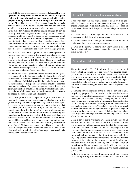provided filter elements are replaced at each oil change. **However, operation in dusty areas, cold climates and where infrequent flights with long idle periods are encountered will require proportionately more frequent oil changes despite use of the oil filter.** The oil and oil filter element should be routinely replaced after each 50 hours of engine operation, and the filter should be cut open in order to examine the material trapped in the filter for evidence of internal engine damage. In new or recently overhauled engines, some small particles of metallic shavings might be found, but these are not dangerous. Metal found after the first two or three oil changes should be treated as an indication that a serious problem is developing and a thorough investigation should be undertaken. The oil filter does not remove contaminants such as water, acids or lead sludge from the oil. These contaminants are removed by changing the oil.

The oil filter is even more important to the high compression or higher-power engine. Some of the aircraft manufacturers have had good success in the small, lower-compression, four-cylinder engines without using a full-flow filter. Generally speaking, these engines are also able to achieve their expected overhaul life as long as oil is consistently changed, and operation and maintenance is accomplished in accordance with the airframe and engine manufacturer's recommendations.

The latest revision to Lycoming Service Instruction 1014 gives recommendations for lubricating oils, oil change intervals and engine break-in. Pilots and mechanics should know what weight, type and brand of oil is being used in the engine being serviced. At each oil change, this specific information should be recorded in the engine logbook. Except as a temporary measure in an emergency, different oils should not be mixed. Consistent indiscriminate mixing of oils may create high oil-consumption problems or clogged oil control rings and oil screens.

Oil consumption is a very important engine health trend to monitor. The operator and maintenance people should know the general history of oil consumption during the life of the engine. It is typical of an engine during seating of new piston rings that oil consumption may be erratic or high; but after the rings are seated, generally within the first 25 to 50 hours, oil consumption should level off below the maximum limits established by the manufacturer. Later, during the life of the engine, if there is a noticeable increase of oil consumption within a 25-hour period, this could be a possible danger signal and calls for an investigation. The oil screens and filter should be carefully observed for signs of metal. Maintenance personnel should take a compression check of the cylinders, using differential pressure equipment and also look inside the cylinders with a borescope or gooseneck light to detect any unusual conditions.

## Oil and Filter Change Recommendations

It has often been said that regular doses of clean, fresh oil provide the least expensive maintenance an owner can give an engine. Lycoming Service Bulletin No. 480 makes these specific recommendations for oil changes under normal operating conditions:

A. 50-hour interval oil change and filter replacement for all engines using a full-flow oil filtration system.

B. 25-hour interval oil change and screen cleaning for all engines employing a pressure-screen system.

C. Even if the aircraft is flown only a few hours, a total of four months maximum between changes for both systems listed under "A" and "B."

## More About Oil and Your Aircraft Engine

The earlier article, "The Oil and Your Engine," was so well received that an expansion of the subject was deemed appropriate. In the previous article, we listed the two basic types of oil used in general aviation aircraft piston engines as **straight mineral** and **ashless dispersant** (AD). We also stressed the importance of clean oil in achieving good engine life, and oil consumption as an indication of engine health was another important item discussed.

Continuing our consideration of the oil and the aircraft engine, the primary purpose of a lubricant is to reduce friction between moving parts. Another responsibility of the oil is to help cool the engine. As it circulates through the engine, the oil absorbs heat. Pistons and cylinder walls are especially dependent on the oil for cooling. In addition to reducing friction, the oil acts as a cushion between metal parts. The oil also aids in forming a seal between the piston and the cylinder wall to prevent leakage of gases from the combustion chamber. Oils likewise help reduce wear by picking up foreign particles and carrying them to a filter where they are removed.

Using a direct-drive, wet-sump Lycoming power plant as an example, we can describe the basic lubrication system of these less complex aircraft engines. A more detailed description may be found in the Overhaul Manual. In a wet-sump engine, the oil is contained in the engine sump as opposed to a dry-sump power plant where the oil is in an external oil tank located perhaps in the wheel well or the rear of the aircraft engine nacelle. In a dry-sump engine, the oil is drawn from the oil tank and pumped throughout the engine by the pressure section of the oil pump, and then returned to the oil tank by the scavenge section of the oil pump. The other basic parts of the oil system are very similar to those used in the direct-drive, wet-sump Lycoming power plants.

In the wet-sump engine, the oil pump draws oil from the rear of the sump through the suction screen and sends it to the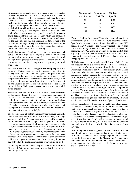**oil-pressure screen.** A **bypass valve** in some models is located between the pressure side of the oil sump and the oil screen. It permits unfiltered oil to bypass the screen and enter the engine when the oil filter is clogged or during a cold start. The spring loading on the bypass valve allows the valve to open before the oil pressure collapses the screen, or in the case of cold congealed oil, it provides a low-resistance path around the screen. It is felt that dirty oil in an engine is better than no lubrication at all. Most oil systems offer as optional or standard a **thermostatic bypass valve** in this same location which also contains a pressure-relief feature to bypass the cooler in case it is clogged. As the name implies, this unit regulates the temperature of the oil by either running it through the oil cooler if it exceeds a preset temperature, or bypassing the oil cooler if the oil temperature is lower than the thermostatic bypass setting.

Continuing its travel, the oil next encounters a **pressure-relief valve.** The latter regulates the engine oil pressure by allowing excessive oil to return to the sump. The oil continues its travel through drilled passageways throughout the system and finally returns by gravity to the oil sump where it begins the journey all over again.

Thus the principal units in the typical **wet-sump** engine are: a sump of sufficient size to contain the necessary amount of oil, an engine oil pump, oil cooler and bypass valve, pressure screen and bypass valve, pressure-regulating valve, oil pressure and temperature instruments in the cockpit, an oil-sump drain, a filler neck to put oil in the engine, a dip stick to measure the amount of oil and a suction oil screen. The full-flow oil filter is optional on the small four-cylinder power plants, but is now recommended for all engines.

We need screens and filters in the oil system to keep the oil clean as it circulates through the engine. If the oil is contaminated, it carries that contamination as it circulates. We also need an oil cooler for most engines so that the oil temperature may be kept within prescribed limits, and the oil is able to perform its function efficiently. Of course, there is more to an oil system than this brief description. But for the operator who need not be a **mechanic**, this basic information can be helpful.

The oil companies tell us the basics about their product. Viscosity of oil is **resistance to flow.** An oil which flows **slowly** has a high viscosity. If oil flows **freely,** it has a **low** viscosity. Unfortunately, viscosity of oil is affected by high or low temperatures. At belowfreezing temperatures, some high-viscosity oils become virtually solid, which makes circulation and lubrication impossible. But no matter what viscosity oil is used, when the outside temperature is 10˚ F or lower, preheating a Lycoming engine is recommended before attempting to start the engine, or damage to the power plant may result. Lycoming does not approve the use of oil dilution for cold-weather operation of its engines. It is extremely important that only oil in the grade recommended by Lycoming be used.

To simplify the selection of oils, they are classified under an SAE (Society of Automotive Engineers) system, that divides all oils into groups as follows:

|                     | Commercial Commercial Military |           |  |
|---------------------|--------------------------------|-----------|--|
| <b>Aviation No.</b> | SAE No.                        | Spec. No. |  |
| 65                  | 30                             | 1065      |  |
| 80                  | 40                             | 1080      |  |
| 100                 | 50                             | 1100      |  |
| 120                 | 60                             | 1120      |  |

If you are looking for a can of 30-weight aviation oil and it has the number 65 on it, then it is 30 and also 1065 under the Military Spec. If it has a more complete designation with the letter "W" added, then 30W indicates the viscosity (grade) of oil; it does not indicate quality or other essential characteristics. Generally speaking, any FAA-approved aviation oil on the market does a good job, but it is recommended that the latest revision to Lycoming Service Instruction No. 1014 be consulted to determine the appropriate grade to be used.

Multiviscosity oils have also been added to the field of aviation products. These oils cover a broad band of viscosity levels, and a number of them are approved by the latest revision to Lycoming Service Instruction 1014. These aviation-grade, ashless dispersant (AD) oils have some definite advantages when used during cold weather. Because they flow more easily in cold temperatures, starting the engine is easier, and lubrication of engine components gets started more quickly. Unfortunately, the additives that make these oils capable of operation at all temperatures also tend to form carbon products during hot-weather operation when the oil usually runs at the high end of the temperature spectrum. These products may settle out in the valve guides and contribute to sticking valves. Therefore each owner or operator should consider the type of operation the aircraft is used for and take advantage of the qualities offered by multiviscosity oils while avoiding their use if it may be the cause of potential problems.

Before we conclude our discussion, we want to remind our readers of a couple of miscellaneous, but important, related items. On multiengine aircraft, each engine issupplied with oil from its own complete and independent system. Another reminder — every engine has a breather that can be considered part of the oil system. If the engine does not have special provisions for aerobatic flight, and is flown inverted, the oil will be lost out the breather and a serious engine failure may result. We definitely recommend that engines not built for aerobatic flight should not be flown inverted.

In summing up this brief supplemental bit of information about the oil and your engine, remember that it was not intended as instruction as detailed as the knowledge required of a mechanic. But we think you will agree that the "Typical Pilot" should know more about an aircraft engine than the "Typical Driver" knows about an automobile engine — the penalty for not knowing the basics is greater in aviation.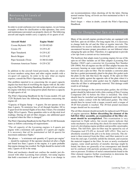## Maintaining Oil Levels of Wet Sump Engines

In order to avoid confusion over wet-sump engines, we are listing examples of them for clarification so that operators, line crews and maintenance personnel can properly check oil. The following aircraft and engine models carry a capacity of six quarts of oil:

| <b>Aircraft Model</b>    | <b>Engine Model</b> |
|--------------------------|---------------------|
| Cessna Skyhawk 172N      | $O-320-H2AD$        |
| Cessna 152               | $O-235-I.2C$        |
| Piper Tomahawk           | $O-235-I.2C$        |
| Beech Skipper            | $O-235-I.2C$        |
| Piper Seminole (Twin)    | O-360-E1A6D         |
| Grumman American Trainer | 0-235-020           |

In addition to the aircraft listed previously, there are others in lesser numbers using these and other engine models with a six-quart oil capacity. In order to be sure what an engine requires, consult the Pilot's Operating Handbook.

One problem reported to us concerning the six-quart capacity engines has been that of overfilling the engine with oil. By referring to the Pilot's Operating Handbook, the pilot will not confuse his engine with those wet-sump power plants that have a capacity of eight quarts of oil.

The Pilot's Operating Handbook for the Cessna models 152 and 172N Skyhawk have the following information concerning the engine oil:

"Capacity of Engine Sump — 6 quarts. Do not operate on less than 4 quarts. To minimize loss of oil through breather, fill to 5-quart level for normal flights of less than 3 hours. For extended flight, fill to 6 quarts. These quantities refer to oil dip stick level readings. During oil and oil filter changes, one additional quart is required when the filter is changed."

The Pilot's Operating Handbook forthe Piper PA-44-180 Seminole states as follows concerning oil requirements:

"The oil capacity of the Lycoming engines is 6 quarts per engine with a minimum safe quantity of 2 quarts per engine. It is necessary that oil be maintained at full (6 quarts) for maximum-endurance flights."

The phrase  $-$  "a minimum safe quantity of 2 quarts per engine" — should be explained. If the operator checked oil after a flight and found less than 2 quarts in the engine, it is quite probable that engine damage has resulted. No flight should be started with only 2 quarts of oil in the sump.

Pilots and mechanics should not confuse the models just discussed with other Lycoming four-cylinder, wet-sump engines that hold a maximum of 8 quarts of oil. There is no change in our recommendations when checking oil for the latter. During normal routine flying, oil levels are best maintained at the 6- to 7-quart level.

Don't forget — when in doubt, consult the Pilot's Operating Handbook.

## Tips for Changing Your Spin-on Oil Filter

Many of the aircraft engines produced today are equipped with full-flow, spin-on oil filters. For long engine life, it is necessary to change both the oil and the filter at regular intervals. The information we receive indicates that problems are sometimes encountered because proper procedures are not followed when changing the spin-on filter. Therefore, it is appropriate to provide a few tips from a current service instruction.

The hardware that adapts many Lycoming engines for use of the spin-on oil filter includes an oil filter adapter (Lycoming Part Number 15047) and a converter kit (Lycoming Part Number LW-13904). Not all engines use the oil filter adapter because the accessory housing on some models is machined to take a converter kit and a spin-on filter. The kit includes a converter plate that has a gasket permanently glued to the plate; this gasket seals the plate on the side that faces the engine. If the spin-on filter seats too tightly against the opposite side of the plate when it is installed, the converter plate gasket may be slightly damaged when the oil filter is subsequently removed. This damage could result in oil leakage.

To prevent damage to the converter-plate gasket, the oil-filter gasket should be lubricated with a thin coating of Dow Corning Compound (DC-4) before the filter is installed. The filter should then be installed and hand-tightened until the seating surface makes contact with the lubricated gasket. The filter should then be turned with a torque wrench until a torque of 18-20 foot pounds is reached. The 20-foot pound maximum torque should not be exceeded.

The oil filter element should normally be replaced each 50 hours of engine operation. **Before discarding the element of the full-flow filter assembly, an examination of the filter element should be accomplished.** This examination is very important to flight safety, but recent reports indicate that some mechanics are not doing this check for metal that would warn of a developing engine problem and possible catastrophic failure. The full-flow, spin-on filter may be opened by use of Champion tool CT-470 or Airwolf AFC-470-I. This tool is absolutely essential if the job is to be done correctly. The element is then removed from the filter, and filter material is cut from the end caps. Carefully unfold the element, and examine the material trapped in the filter. In new or newly overhauled engines, some small particles of metallic shavings might be found, but these are generally of no consequence and should not be confused with particles produced by impacting, abrasion or pressure. Evidence of metal contamination found in the filter element requires further examination to determine the cause. (See Suggestions if Metal is Found...)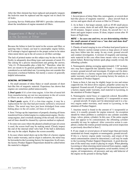After the filter element has been replaced and properly torqued, the lockwire must be replaced and the engine run to check for oil leaks.

Lycoming Service Publication SSP-885-1 provides information about the installation of engine-mounted oil filters.

## Suggestions if Metal is Found in the Screens or Filter

Because the failure to look for metal in the screens and filter, or ignoring what is found, can lead to catastrophic engine failure, we'll attempt a logical approach to the proper action to be taken when metal shows up in the oil screen or oil-filter cartridge.

The lack of printed matter on this subject may be due to the difficulty in adequately describing types and amounts of metal. It's like asking for a precise measurement and getting the answer, "why it's 25-thousandths plus a little bit." Therefore, what follows are meant to be general guidelines, but each case must be considered as an individual one. Lycoming does not consider this discussion a technical bulletin, but merely a source of generally helpful information.

#### GENERAL INFORMATION

1. On small amounts of shiny flakes or small amounts of short hair-like bits of magnetic material. Experience has shown that engines are sometimes pulled unnecessarily.

**2. Don't panic** if it's a low-time engine. A few bits of metal left from manufacturing are not too uncommon in the oil screen or filters on new, rebuilt or overhauled engines.

**3. Don't panic** again, if it's a low-time engine, it may be a replacement for one that had previously suffered a structural failure. The metal may have just been dislodged from some hiding place in the oil cooler, oil lines or oil tank.

4. Item 3 brings up the importance of properly cleaning all items transferred from a failed engine to a replacement engine. On drysump engines, don't overlook cleaning of the oil tank. Oil coolers and oil lines should be cleaned by a proven method or replaced.

5. In some rare cases where the pleated cylindrical-type oilscreen is used, the screen itself may be making metal. Closely inspect the end of the internal relief valve ball. If the ball is deformed, this may be the culprit. Replace the screen assembly.

6. In cases where metal shows up in the filter of a factory engine that is under warranty, and its origin is unknown, the metal may be forwarded to the Lycoming factory for inspection. In all cases, the factory Product Support Department should be called before the material is shipped.

#### EXAMPLES:

1. Several pieces of shiny flake-like, nonmagnetic, or several short hair-like pieces of magnetic material — place aircraft back in service and again check oil screen or filter in 25 hours.

2. As in Item 1, but larger amount, such as 45-60 small pieces — clean screen, drain oil and refill. Run engine on ground for 20-30 minutes. Inspect screen. If clean, fly aircraft for 1 to 2 hours and again inspect screen. If clean, inspect screen after 10 hours of flight time.

#### NOTE **— In cases one and two, we are determining whether the small amount of metal was a "one shot and done deal" (not entirely uncommon).**

3. Chunks of metal ranging in size of broken lead pencil point or greater. Remove suction (sump) screen as large pieces of metal may have fallen into the sump. In any event, ground aircraft and conduct investigation. A mixture of magnetic and nonmagnetic material in this case often times means valve or ring and piston failure. Removing bottom spark plugs usually reveals the offending cylinder.

4. Nonmagnetic plating averaging approximately 1/16" in diameter; may have copperish tint. Quantity found  $-$  ¼ teaspoonful or more; ground aircraft and investigate. If origin can't be determined and this is a factory engine (not a field overhaul) that is under warranty, mail metal to Lycoming factory for analysis, to the attention of Product Support.

5. Same as Item 4, but may be slightly larger in size and minus copperish tint. On direct-drive engines, propeller action may be impaired. Ground aircraft. If origin can't be determined and it is a factory engine under warranty, mail material to Lycoming, to the attention of Product Support.

6. Nonmagnetic metal brass or copperish colored. Resembles coarse sand in consistency. Quantity of ¼ teaspoonful or more — ground aircraft. If origin can't be determined and it is a factory engine under warranty, mail metal to Lycoming, to the attention of Product Support.

7. Anytime metal is found in the amount of  $\frac{1}{2}$  teaspoonful or more, it is usually grounds for engine removal. An exception should be where problem is confined to one cylinder assembly (rings, valves, piston, cylinder). In this case, if the entire engine does not appear to be contaminated, the offending cylinder assembly kit may be replaced. After corrective action is completed, conduct the routine ground running and screen inspection as previously described in Item 2.

8. If any single or several pieces of metal larger than previously mentioned are found, magnetic or nonmagnetic, ground aircraft. If this is a factory engine under warranty, and origin of the metal contamination cannot be determined, a call may be made to the Lycoming Product Support Department. A good description of the metal may result in placing its origin. When phoning Lycoming or when returning metal removed from engines, supply the complete engine model designation, serial number, history of engine, oil temperatures, oil pressures and any odd behavior of the engine on the ground or during flight.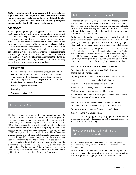NOTE **— Metal samples for analysis can only by accepted if the engine from which the sample is taken is a new, rebuilt or overhauled engine from the Lycoming factory and it is still under warranty. Engines overhauled by other facilities may have parts that cannot be identified by analysis at Lycoming.**

#### POSTSCRIPT:

As an important postscript to "Suggestions if Metal is Found in the Screens or Filter," factory personnel have become concerned over unnecessary engine removals because metal was found in a replacement engine after a prior malfunctioning engine was removed. These unfortunate engine removals were largely caused by maintenance personnel failing to thoroughly flush and clean all aircraft oil system components. Because of the difficulty of removing contamination from an oil cooler, it is strongly suggested that a new oil cooler be used with the replacement engine when an engine is removed because it failed. As a reminder that it is essential to remove metal contamination from the oil system, the factory Product Support Department now sends the following tag with every service engine leaving our factory:

#### IMPORTANT

Before installing this replacement engine, all aircraft oil system components, oil coolers, lines and supply tanks, where used, must be thoroughly cleaned for contamination. Lycoming will not be held responsible for contamination to this newly installed engine.

Product Support Department

Lycoming

Williamsport, PA 17701

# Safety Tip - Sealant Use

The latest revision of Lycoming Service Instruction No. 1125 specifies POB No. 4 Perfect Seal and silk thread as the generally used items for sealing crankcase finished parting surfaces that do not employ gaskets. Two other products, RTV-102 or LOCTITE-515 applied as a very thin film without silk thread, may be used as alternate materials for sealing crankcase parting surfaces. Other sealants have not been tested and approved for this purpose, and NONE are approved for other uses in the assembly of Lycoming engines. Improper use of these and other sealing compounds can create serious problems.As an example, a red-colored sealant was used by a mechanic to hold the pressure-screen gasket in place. As the material solidified, pieces broke loose and eventually blocked the engine's small oil passages causing oil starvation and engine failure. The bottom line: Only use those sealant materials approved by the Lycoming Overhaul Manual and other service publications, and only use them for approved purposes.

# Understanding Engine Color Codes

Hundreds of Lycoming engines leave the factory monthly and are marked with a variety of colors on each cylinder. These colors have a definite meaning and provide valuable information about the engine. Questions concerning these colors and their meanings have been asked by many owners and maintenance personnel.

In the past, color coding of cylinders was confined to colored bands around the base of each cylinder. Today, new methods of painting (enameling) engines, and a need for quick, easy engine identification were instrumental in changing color code location.

The factory color code, a large painted stripe, is now located on the cylinder head between the push rods from the spark plug boss to bottom of the cylinder head. Additional color coding has been added to identify cylinders requiring long-reach spark plugs versus short-reach spark plugs. Location of spark plug identification color code is between the spark plug boss and rocker box.

#### COLOR CODE FOR CYLINDER IDENTIFICATION

Location — Between push rods on cylinder head, or band around base of cylinder barrel.

Engine gray or unpainted — Standard steel cylinder barrels.

Orange stripe — Chrome-plated cylinder barrels.

Blue stripe — Nitride-hardened cylinder barrels.

\*Green stripe — Steel cylinder 0.010 oversize.

\*Yellow stripe — Steel cylinder 0.020 oversize.

\*Color code applicable only to engines overhauled in the field. Lycoming does not sell oversize cylinders.

#### COLOR CODE FOR SPARK PLUG IDENTIFICATION

Location — Fin area between spark plug and rocker box.

Engine gray or unpainted — Short-reach spark plugs.

Yellow — Long-reach spark plugs.

Caution — Use only approved spark plugs for all models of Lycoming engines. See latest revision of Service Instruction No. 1042 for approved spark plugs.

## Reciprocating Engine Break-in and **Oil Consumption Limits**

*We receive many questions about engine break-in. To respond to these questions, a complete reprint of Service Instruction 1427B is included here.*

This information applies to all fixed-wing and rotary-wing aircraft with horizontal installation of Lycoming reciprocating aircraft engines. The appropriate action should be taken: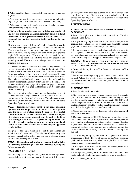1. When installing factory overhauled, rebuilt or new Lycoming engines.

2. After field overhaul (field-overhauled engine or engine with piston ring change after one or more cylinders are honed or replaced).

3. When one or more cylinders have rings replaced or cylinders are replaced (requiring new rings).

#### NOTE **— All engines that have had initial run-in conducted in a test cell (including all Lycoming factory new, rebuilt and overhauled) should proceed directly to the FLIGHT TEST section of this Service Instruction that is applicable to your aircraft.**

Ideally, a newly overhauled aircraft engine should be tested in a test cell where operating conditions can be closely monitored. If the engine is test-cell run, the engine must have intercylinder baffles in place, cooling shroud and club propeller to provide engine RPM requirements. Where a test cell is not available, the engine should be tested on a test stand with a club propeller and a cooling shroud. However, it is not always convenient to test an engine in this manner.

If a test cell or a test stand is not available, an engine should be properly tested after it has been installed in the aircraft. If the engine is run in the aircraft, it should still use a club propeller for proper airflow cooling. However, the aircraft propeller may be used. In either case, the intercylinder baffles must be in place. The engine to cowling baffles must be new or in good condition to assure proper cooling airflow differential across the engine. The cylinder head temperature gage, oil temperature gage, oil pressure gage, manifold pressure gage and tachometer must be calibrated to assure accuracy.

The purpose of a test cell or ground run test if done in the aircraft is to assure that the engine meets all specifications, RPM, manifold pressure, fuel flow and oil pressure. The oil cooler system must hold oil temperatures within limits shown in applicable Lycoming Operator's Manuals.

NOTE **— Extended ground operation can cause excessive cylinder and oil temperatures. Prior to start of a ground run, the oil cooler system should be inspected for metal contamination and be free from air locks. When the engine oil is at operating temperature, oil goes through cooler first, then through the oil filter. If a previous engine failed, the oil cooler, propeller and governor may be contaminated and should be replaced or cleaned and inspected by an approved repair facility.**

The purpose for engine break-in is to set the piston rings and stabilize the oil consumption. There is no difference or greater difficulty in seating the piston rings of a top-overhauled engine versus a complete engine overhaul.

NOTE **— The maximum allowable oil consumption limits for all Lycoming aircraft engines can be determined by using the following formula:**

#### **.006 X BHP X 4 7.4 = Qt/Hr.**

The following procedure provides a guideline for testing a newly overhauled engine that is mounted in the aircraft. Information on the "ground run after top overhaul or cylinder change with new rings" and the "flight test after top overhaul or cylinder change with new rings" procedures are published in the applicable Lycoming Operator's Manual.

#### **I. FIXED WING**

#### A. Preparation for test with engine installed **IN AIRCRAFT**

1. Pre-oil the engine in accordance with latest edition of Service Instruction No. 1241.

2. It is particularly important that the cylinder head temperature gage, oil temperature gage, oil pressure gage, manifold pressure gage, and tachometer be calibrated prior to testing.

3. Engine accessories, such as the fuel pump, fuel-metering unit, and magnetos, should be overhauled in accordance with accessory manufacturer's recommendations, or replaced with new units before testing engine. This applies to overhauled engines only.

#### CAUTION **— Check that all vent and breather lines are properly installed and secured as described in the airframe maintenance manual.**

4. Install all intercylinder baffles. Install all airframe baffles and cowling.

5. For optimum cooling during ground testing, a test club should be used. Where this is not possible, the regular flight propeller can be substituted but cylinder head temperature must be monitored closely.

#### B. Ground test

1. Face the aircraft into the wind.

2. Start the engine, and observe the oil pressure gage. If adequate pressure is not indicated within 30 seconds, shut the engine down and determine the cause. Operate the engine at 1000 RPM until the oil temperature has stabilized or reached 140˚ F. After warmup, the oil pressure should not be less than the minimum pressure specified in the applicable operator's manual.

3. Check magneto drop-off as described in the latest edition of Service Instruction No. 1132.

4. Continue operation at 1000/1200 rpm for 15 minutes. Ensure that cylinder head temperature, oil temperature and oil pressure are within the limits specified in the operator's manual. Shut the engine down, and allow it to cool if necessary to complete this portion of the test. If any malfunction is noted, determine the cause and make the necessary correction before continuing with this test.

5. Start the engine again, and monitor oil pressure. Increase engine speed to 1500 RPM for a 5-minute period. Cycle propeller pitch, and perform feathering check as applicable per airframe manufacturer's recommendation.

6. Run engine to full-static, airframe-recommended power for a period of no more than 10 seconds.

7. After operating the engine at full power, allow it to cool down moderately. Check idle mixture adjustment prior to shutdown.

8. Inspect the engine for oil leaks.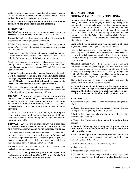9. Remove the oil suction screen and the oil pressure screen or oil filter to determine any contamination. If no contamination is evident, the aircraft is ready for flight testing.

NOTE **— Compile a log of all pertinent data accumulated during both the ground testing and flight testing.**

#### C. Flight test

WARNING **— engine test clubs must be replaced with approved flight propellers before flying aircraft.**

1. Start the engine, and perform a normal preflight run-up in accordance with the engine operator's manual.

2. Take off at airframe recommended takeoff power, while monitoring RPM, fuel flow, oil pressure, oil temperature and cylinder head temperatures.

3. As soon as possible, reduce to climb power specified in operator's manual. Assume a shallow climb angle to a suitable cruise altitude. Adjust mixture per Pilot's Operating Handbook.

4. After establishing cruise altitude, reduce power to approximately 75% and continue flight for 2 hours. For the second hour, alternate power settings between 65% and 75% power per operator's manual.

NOTE **— If engine is normally aspirated (non-turbocharged), it will be necessary to cruise at the lower altitudes to obtain the required power levels. Density altitude in excess of 8,000 feet (5,000 feet is recommended) will not allow the engine to develop sufficient cruise power for a good break-in.**

5. Increase engine power to maximum airframe recommendation and maintain for 30 minutes, provided engine and aircraft are performing within operating manual specifications.

CAUTION **— Avoid low manifold pressure during high engine speeds (under 15" Hg) and rapid changes in engine speeds with engines that have dynamic counterweight aSSEMBLIES. THESE CONDITIONS CAN DAMAGE THE counterweights, rollers or bushings, thereby causing detuning.**

6. Descend at low cruise power, while closely monitoring the engine instruments. Avoid long descents at low manifold pressure. Do not reduce altitude too rapidly, or engine temperature may drop too quickly.

CAUTION **— Avoid any closed-throttle descents. Closed-throttle operation during descents will cause ring flutter causing damage to the cylinders and rings.**

7. After landing and shutdown, check for leaks at fuel and oil fittings and at engine and accessory parting surfaces. Compute fuel and oil consumption and compare to the limits given in operator's manual. If consumption exceeds figures shown in manual, determine the cause before releasing aircraft for service.

8. Remove oil suction screen and oil pressure screen or oil filter to check again for contamination.

NOTE **— To seat the piston rings in a newly overhauled engine, cruise the aircraft at 65% to 75% power for the first 50 hours, or until oil consumption stabilizes.**

### **II. ROTARY WING (HORIZONTAL INSTALLATIONS ONLY)**

Proper break-in of helicopter engines is accomplished by following a sequence of steps ranging from servicing the engine on the ground to progressively increasing its power output during operation. Although this Service Instruction contains detailed information pertaining to break-in, it is impossible to cover all aspects of break-in for individual helicopter models. For that reason, consult the Pilot's Operating Handbook (POH) for a particular helicopter model. Also, refer to the Lycoming Operator's Manual for the engine.

Some facts should be kept in mind regarding break-in of piston engines employed in helicopters. They are as follows:

Because helicopters always operate at a fixed or rated engine speed, any reduced RPM required during break-in must be undertaken with the helicopter on-ground and with the rotor engaged. During flight, all power reductions must be made by manifold pressure alone.

Manifold Pressure Values. Some helicopters do not have red-line on the manifold pressure gage, and therefore use all rated power. Some are red-lined to airframe limitations and not to engine performance parameters. In the case of Lycoming model HIO-360-D1A, it has graduated manifold pressure values that can be obtained from the Lycoming Operator's Manual.

The method of rotor engagement, centrifugal clutch or manually operated belt drive, must also be considered.

NOTE **— Because of the difference in helicopter models, refer to the helicopter pilot's operating handbook (POH) for specific methods of operation for a particular helicopter concerning rotor engagement and manifold pressure ratings.**

#### A. Ground test

1. Check that engine is serviced with proper grade and quantity of oil.

2. Review the appropriate starting procedure detailed in the helicopter Pilot's Operating Handbook (POH).

3. Position the helicopter to take advantage of prevailing wind to assist in engine cooling.

4. Ensure that throttle and mixture control are at the full-off position.

#### NOTE **— In following step, if adequate oil pressure is not indicated within 30 seconds, shut the engine down and determine the cause.**

5. Refer to helicopter Pilot's Operating Handbook (POH) for proper starting procedures. Start engine, and run 5 minutes at idle RPM (1200 - 1450 RPM).

6. Adjust idle mixture and oil pressure as required.

7. Shut engine off.

8. Inspect the engine for oil and fuel leaks.

9. If plug fouling is noted on magneto check, remove, inspect and test spark plugs. Clean oil and lead from plug. Reinstall spark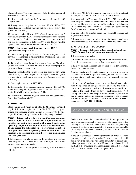plugs and leads. Torque as required. (Refer to latest edition of Service Instruction No. 1042).

10. Restart engine and run for 5 minutes at idle speed (1200 - 1450 RPM).

11. Engage rotor, if required, and increase RPM to 50% - 60% of rated engine speed for 5 minutes with rotor blades at flat pitch (collective full-down).

12. Increase engine RPM to 80% of rated engine speed for 5 minutes, followed by 100% airframe manufacturer's rated engine speed for another 5 minutes, provided that oil pressure is normal and that oil temperature is between 180˚ F and 200˚ F, with the cylinder head temperatures between 350˚ F and 400˚ F.

#### NOTE **— For proper break-in, do not exceed 420˚ F cylinder head temperature.**

13. After running engine for the last 5-minute segment, cool down as recommended in helicopter Pilot's Operating Handbook (POH), then shut engine down.

14. Drain oil, and clean the suction screen in the sump.Also clean oil pressure screen, or replace pressure oil filter. Make proper oil pressure adjustments at this time.

15. After reinstalling the suction screen and pressure screen (or new oil filter) to proper torque, service engine with correct grade and quantity of oil. (Refer to latest edition of Service Instruction No. 1014).

16. Start engine, and idle at 1450 RPM.

17. Engage rotor, if required, and increase engine RPM to 2000 RPM. Warm engine to ground-run check as described in helicopter Pilot's Operating Handbook (POH).

18. At this time, perform magneto check per helicopter Pilot's Operating Handbook (POH).

#### B. Flight test

Start engine, and warm up at 1450 RPM. Engage rotor, if required, increase engine speed to 75% RPM. Warm up the engine, and conduct a ground check in accordance with the helicopter Pilot's Operating Handbook, including magneto check.

NOTE **— It is advisable to have two qualified crew members aboard to perform the various control operations and to monitor the engine instruments. All aircraft and engine operating temperatures and pressures are to be monitored. If any exceed the helicopter Pilot's Operating Handbook or engine and aircraft operating manuals limitations, the break-in is to be discontinued until corrective maintenance has been performed.**

1. Put helicopter into a hover mode for 10 minutes while charting manifold pressure, fuel pressure, oil temperature, oil pressure and cylinder head temperature, etc.

2. If engine instruments prove satisfactory, climb to cruise altitude.

3. Cruise at 70% to 75% of engine-rated power for 30 minutes at an airspeed that will allow for a constant safe altitude.

4. At termination of 30-minute flight at 70% to 75% power, chart manifold pressure and engine temperature. Increase engine RPM and manifold pressure to maximum limits allowed in helicopter Pilot's Operating Handbook (POH). Maintain this power setting for 45 minutes at a constant safe altitude.

5. At the end of 45 minutes, again chart manifold pressure and engine temperatures.

6. Return to base, and hover aircraft for 10 minutes or cooldown time recommended in Helicopter Pilot's Operating Handbook.

#### C. After flight — on ground

#### NOTE **— Reference helicopter pilot's operating handbook (POH) for cool down and shut down procedures.**

1. Inspect engine for leaks.

2. Compute fuel and oil consumption. If figures exceed limits, determine cause(s) and correct before releasing aircraft.

3. Remove oil suction screen and pressure screen (or oil filter). Inspect for contamination.

4. After reinstalling the suction screen and pressure screen (or new filter) to proper torque, service engine with correct grade and quantity of oil. (Refer to latest edition of Service Instruction No. 1014.)

After the aircraft has been released, a normally aspirated engine must be operated on straight mineral oil during the first 50 hours of operation, or until the oil consumption stabilizes. (Refer to the latest edition of Service Instruction No. 1014.) During this time, maintain engine power above 65%, and ensure that all aircraft and engine operating temperatures and pressures are monitored and maintained within limits. Refer to **NOTE**  under step **II. B. FLIGHT TEST.**

## Compression Check as a Maintenance Aid

In General Aviation, the compression check is used quite universally as a maintenance aid. It was also used for many years by the military and airline maintenance people on their reciprocating engines. Despite universal use, little, if anything, was available in writing as a reference concerning its application to General Aviation power plants.

Although two methods of checking compression were used in the past, only one is in general use today. The direct compression (old automotive type) has given way almost completely to the differential compression test because the differential check is considered the best of the two. It is a much more precise method of locating specific areas of trouble, and it is simple to use.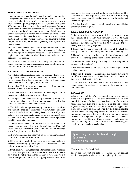#### WHY A COMPRESSION CHECK?

A compression test can be made any time faulty compression is suspected, and should be made if the pilot notices a loss of power in flight, finds high oil consumption, or observes soft spots when hand-pulling the prop. It is also considered part of the 100-hour engine inspection and the annual inspection. But most experienced maintenance personnel feel that the compression check is best used to chart a trend over a period of flight hours. A gradual deterioration of charted compression taken during routine maintenance checks would be a sound basis for further investigation and possible cylinder removal. This attempt to reduce the possibility of engine failure is generally called preventive maintenance.

Preventive maintenance in the form of cylinder removal should not be done on the basis of one reading. Mechanics make honest errors and equipment becomes inaccurate. Even a difference in engine temperature when the check is done can easily affect the accuracy of the reading.

Because the differential check is so widely used, several key points regarding this maintenance aid are listed here for information of those not familiar with its use.

#### DIFFERENTIAL COMPRESSION TEST

We will attempt to repeat the operating instructions which accompany the equipment. This should be read and followed carefully for best results. The following recommendations will supplement the instructions accompanying the equipment:

1. A standard 80 lbs. of input air is recommended. More pressure makes it difficult to hold the prop.

2. A loss in excess of 25% of the 80 lbs., or a reading of 60/80 is the recommended maximum allowable loss.

3. The engine should have been run up to normal operating temperatures immediately preceding the compression check. In other words, we recommend a hot engine check.

4. The differential compression equipment must be kept clean and should be checked regularly for accuracy. Check equipment with the shutoff valve closed and regulated pressure at 80 psi (the cylinder pressure gage must indicate 80 psi plus or minus 2 psi), and hold this reading for at least 5 seconds. Homemade equipment should be carefully calibrated.

5. Combustion chambers with five piston rings tend to seal better than three or four piston rings, with the result that the differential check does not consistently show excessive wear or breakage where five piston rings are involved.

6. If erratic readings are observed on the equipment, inspect compressor system for water or dirt.

7. If low readings result, do not remove the cylinders without a recheck after running up the engine at least three minutes, and refer to the cross-checks listed later.

8. If valves show continual leakage after recheck, remove rocker box cover and place a fiber drift on the rocker arm immediately over the valve stem and tap the drift several times with a one- or two-pound hammer. When tapping valves thusly, rotate the prop so that the piston will not be on top-dead center. This is necessary in some engines to prevent the valve from striking the head of the piston. Then rotate engine with the starter, and recheck compression.

9. Caution. Take all necessary precautions against accidental firing or rotation of the engines.

#### CROSS-CHECKING IS IMPORTANT

Rather than rely on one source of information concerning the condition of the combustion chamber, it is wise to make cross-checks, particularly when the compression readings are questionable. Therefore, we would like to recommend the following before removing a cylinder.

1. Remember that spark plugs tell a story. Carefully check the spark plugs removed from any cylinder with a low reading.

2. Use at least a gooseneck light, or preferably a borescope, and carefully check the top of the piston and cylinder walls.

3. Consider the health history of the engine. Has it had previous difficulty of this nature?

4. Has the pilot observed any loss of power in the engine during flight or run up?

5. How has the engine been maintained and operated during its life? If the maintenance and care have been proper and consistent, there is less likelihood of trouble.

6. The supervisor of maintenance should evaluate the known factors such as those discussed here and make a recommendation to the pilot.

#### **CONCLUSION**

Whatever your opinion of the compression check as a maintenance aid, it is probable that no pilot or mechanic would care to omit it during a 100-hour or annual inspection. On the other hand, since most everyone seems to use it on the flat opposed engines, we ought to share our experiences with its application to our power plants. This has indicated that the differential is the best method of checking compression, and particularly so when the readings are charted as a trend over a number of routine inspections. It is a good tool for preventive maintenance and aids in avoiding in-flight failures. Cross-checking is good procedure, rather than relying on one source of information concerning the condition of the combustion chamber.

Spark Plugs - Key To Smooth Engine Operation, I Hot and Cold Plugs?

#### *(Courtesy: Champion Spark Plug)*

Today, the term "hot and cold" is commonplace in general aviation — especially when related to engine spark plugs.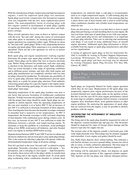With the introduction of high-compression and high-horsepower engines, a need for improved spark plugs was imminent. Spark plugs used in low-compression, low-horsepower engines were not compatible with the new, more sophisticated power plants. The noncompatibility factor of existing plugs with new engines resulted in development of spark plugs capable of operating efficiently at high-compression ratios and highpower settings.

Many aircraft operators have come in direct or indirect contact with the term "hot and cold" during the course of conversation with other pilots or mechanics. Its meaning and relationship to engine operation was sometimes rather vague. What do we mean by "hot and cold" spark plugs? What is the relationship between an engine and spark plugs? How important is it to smooth engine operation? These are but a few questions we will try to answer in this article.

Both spark plug and engine manufacturer working together determine the proper type spark plug suitable for each engine model. These plugs can be either fine wire or massive electrode type. Before being released for production, each new type plug is checked in the laboratory and under actual flight conditions. They are tested through a wide range of operating conditions and at different power settings, and only after both engine and spark plug manufacturer are completely satisfied with test data are plugs released for production. To eliminate any possibility of error in spark plug selection, both manufacturers provide spark plug charts as a guide for proper plug selection. Final authority concerning proper plugs for a specific engine is the engine manufacturer. When selecting spark plugs, be sure to also consider the spark plugs' heat range.

Operating temperature of the spark plug insulator core nose is one factor that governs formation of troublesome combustion deposits. To help overcome this problem, selection of spark plugs with the proper heat range should be made. Spark plugs are susceptible to carbon deposits when the operating temperature of the core nose insulator is at or below 800˚ F, but an increase of just 100˚ F is sufficient to eliminate formation of these deposits. Also, lead deposits form because the bromide scavenger contained in tetraethyl lead is nonactive at low temperatures. At 900˚ F temperature, the bromide scavenger is fully activated, disposing of lead deposits with combustion gases during exhaust cycle. In this case, an increase of just 100˚ F was sufficient to make the difference between a smooth- and rough-running engine. To eliminate or keep this problem at a minimum, avoid prolonged idling at low RPM, avoid power-off letdowns, and after flooded starts run engine at medium RPM before taxiing.

Deposits formed between 1000˚ F and 1300˚ F are low in volume and electrical conductivity and are least apt to cause spark plug fouling. This is the reason for selecting a plug that will operate within the aforementioned temperature range at all power settings.

Now let's get back to the term "hot and cold" as related to engine spark plugs. Normally, a hot plug is used in a cold engine — low horsepower, and a cold plug in a hot engine — high horsepower. In actuality, these terms refer to the plug's ability to transfer heat from its firing end to the engine cylinder head. To avoid spark plug overheating where combustion chamber or cylinder head

temperatures are relatively high, a cold plug is recommended, such as in a high-compression engine. A cold-running plug has the ability to transfer heat more readily. A hot-running plug has a much slower rate of heat transfer and is used to avoid fouling when combustion chamber and cylinder head temperatures are relatively low.

From our discussion, it is clear to see that there is more to spark plugsthan just buying a set and installing them in your engine. Be sure you know what type of spark plugs to use with your engine. Also, good spark plug service and maintenance is as important as proper plug selection. Take care in selecting and maintaining your plugs, it can result in many additional hours of smooth engine operation. Additional spark plug information is always available from the engine or spark plug manufacturers and other service organizations.

A listing of approved spark plugs in Service Instruction No. 1042 is available by writing to Product Support Department, Lycoming, Williamsport, PA 17701. Additional information about spark plugs and their servicing may be obtained by writing Champion Spark Plug Division, P.O. Box 686, Liberty, SC 29657.

Spark Plugs - Key To Smooth Engine Operation, II

Spark plugs are frequently blamed for faulty engine operation which they do not cause. Replacement of old spark plugs may temporarily improve poor engine performance because of the lessened demand new spark plugs make on the ignition system. But this is not the cure-all for poor engine performance caused by worn rings or cylinders, improper fuel/air mixture, a mistimed magneto, dirty distributor block, worn ignition harness or other engine problems. By analyzing the appearance of spark plugs that are removed from the engine, it may be possible to identify problems with the engine.

#### Interpreting THE APPEARANCE of Insulator Tip Deposits

The firing end of the spark plug should be inspected for color of the deposits, cracked insulator tips and gap size. The electrodes should be inspected for signs of foreign object damage and the massive type also for copper run-out.

The normal color of the deposits usually is brownish gray with some slight electrode wear. These plugs may be cleaned, regapped and reinstalled. A new engine seat gasket should be used.

Dry, fluffy black deposits show carbon fouling. This indicates a rich fuel/air mixture, excessive ground idling, mixture too rich at idle or cruise, or faulty carburetor adjustment. The heat range of the plug is also too cold to burn off combustion deposits.

Oil fouling will be indicated by black, wet deposits on spark plugs in the bottom position of flat, opposed-cylinder engines. Oily deposits on the top plugs may indicate damaged pistons,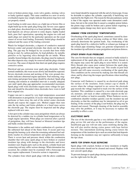worn or broken piston rings, worn valve guides, sticking valves or faulty ignition supply. This same condition in a new or newly overhauled engine may simply indicate that piston rings have not yet properly seated.

Lead fouling in mild cases shows as a light tan or brown film or slight build-up on the spark plug firing end. Severe cases appear as a dark glaze, discolored tip or as fused globules. Although mild lead deposits are always present to some degree, highly leaded fuels, poor fuel vaporization, operating the engine too cold and spark plugs not suited for the particular operation are the usual causes of severe lead fouling. Extremely fouled plugs should be replaced and the cause of the fouling corrected.

Watch for bridged electrodes, a deposit of conductive material between center and ground electrodes that shorts out the spark plug. The gap may be bridged by ice crystals that form while trying to start, by carbon particles, by lead globules, by metallic particles or by ingesting silica through the air intake. When metallic fusion bridges the electrodes, the plugs must be replaced, but other deposits may simply be removed and the plugs returned to service. The cause of deposits that short out spark plugs requires corrective action.

Electrical and gas corrosion wear spark plug electrodes. Under normal conditions, this wear occurs slowly and should be expected. Severe electrode erosion and necking of fine wire ground electrodes indicates abnormal engine operation. Fuel metering, magneto timing and proper heat range should be checked. Spark plug cleaning and rotation at scheduled intervals is usually adequate care until spark plug gap approaches recommended maximum. Spark plugs with worn electrodes require more voltage for ignition and should be discarded when electrodes have worn to half their original size.

Copper run-out is caused by very high temperatures associated with detonation or preignition. It occurs when high temperatures perforate or burn away the end of the nickel center electrode sheath and expose the copper core. Melted copper then runs onto the tip surface and forms globules or a fused mass across the electrode gap. The engine must be inspected and the plugs replaced with new ones.

A hot spot in the cylinder may cause preignition which can always be detected by a sudden rise in cylinder head temperature or by rough engine operation. When plugs are removed after a period of preignition, they will have burned or blistered insulator tips and badly eroded electrodes.

Detonation is the sudden and violent combustion of a portion of the unburned fuel ahead of the flame front. It occurs part-way through the burning cycle when the remaining unburned fuel suddenly reaches its critical temperature and ignites spontaneously. There is severe heat and pressure shock within the combustion chamber that will cause spark plugs to have broken or cracked insulator tips along with damage to the electrodes and lower insulator seal. Engine parts such as the piston, cylinder head and connecting rod may suffer serious damage. When detonation has occurred, the cylinder must be examined with a borescope and may require replacement. Corrective action is imperative.

The cylinders from which spark plugs with the above conditions

were found should be inspected with the aid of a borescope. It may be desirable to replace the cylinder, especially if backfiring was reported by the flight crew. The reason for this precautionary action is that if the engine was operated under some detonation conditions, but not to the extent that it caused a complete piston failure, the piston rings could be broken and a piston failure requiring a complete engine change may show up at a later date.

#### Damage From Excessive Temperatures

Overheating of the spark plug barrel, sometimes caused by damaged cylinder baffles or missing cooling air blast tubes, may seriously deteriorate the ignition leads. Any overheating of the spark plug barrel by a defective baffle or exhaust gas leakage at the exhaust pipe mounting flange can generate temperatures in the insulator tip sufficient to cause preignition and piston distress.

#### OTHER SPARK PLUG PROBLEMS

The cure for threads that are stripped, crossed or badly nicked is replacement of the spark plug with a new one. Dirty threads in the engine may cause the spark plug to seize before it is seated. Dirty threads also cause poor contact between the spark plug, spark plug gasket and the engine seat. This results in poor heat transfer and will cause excessive overheating of the spark plug. This condition can be corrected by making sure that threads are clean, and by observing the torque specifications when installing new plugs.

Connector well flashover is caused by an electrical path along the surface of the insulator, from contact cap to shield. It occurs when the voltage required to arc across the electrode gap exceeds the voltage required to track over the surface of the insulator. This condition is caused by a too-wide electrode gap, oil, moisture, salt track or other conductive deposit on the terminal well surface or lead-in assembly. When flashover occurs, combustion chamber residues quickly coat the insulator tip and electrodes so that the condition may be interpreted as oil or gas fouling. If the ceramic of the plug is not broken, the plug may be cleaned and reused. Thorough cleaning of the lead-in assembly may solve the problem, or it may be necessary to replace the assembly to effect a cure.

#### Electrode Gaps

The size of the electrode gap has a very definite effect on spark plug service life and also on the performance of the engine. Insufficient gap size will not only cause misfiring during idle, but will also misfire during cruise power with lean fuel/air mixture. This intermittent misfiring during cruise lowers the temperature of the insulator tip to such an extent that lead deposits forming on the insulators may not vaporize sufficiently to keep the tips clean.

#### HINTS FOR SPARK PLUG SERVICING

Spark plugs with cracked, broken or loose insulators or highly worn electrodes should not be cleaned and reused. Replace with new aircraft spark plugs.

To prevent damage to spark plugs during removal and installation, use the right tools for the job.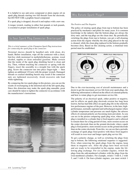It is helpful to use anti-seize compound or plain engine oil on spark plug threads starting two full threads from the electrode, but DO NOT USE a graphite-based compound.

If a spark plug is dropped, discard it and replace with a new one.

A torque wrench, reading in either foot pounds or inch pounds, is essential to proper installation of spark plugs.

# Is Your Spark Plug Connector Overtorqued?

#### *This is a brief summary of the Champion Spark Plug instructions for connecting the spark plug to the connector:*

Terminal sleeves should be handled only with clean, dry hands. Before installation, wipe off the connector with a clean, lint-free cloth moistened in methylethylketone, acetone, wood alcohol, naptha or clean unleaded gasoline. Make certain that the inside of the spark plug shielding barrel is clean and dry. Then, without touching the connector or spring with the fingers, insert the assembly in a straight line with the spark plug. Screw the connector nut into place finger-tight — then tighten an additional 1/8 turn with the proper wrench. Damaged threads or cracked shielding barrels may result if the connector nuts are tightened excessively. Avoid excessive side load while tightening.

By comparing the two spark plugs in this picture, you can see the results of overtorquing at the distorted end of the left spark plug. Since this distortion may make the spark plug unusable, great care should be taken to tighten the connector in accordance with the manufacturer's instructions.



## Why Rotate Spark Plugs?

#### *The Positive and The Negative*

The policy of rotating spark plugs from top to bottom has been practiced by mechanics and pilots for many years. It is common knowledge in the industry that the bottom plugs are always the dirty ones, and the top plugs are the clean ones. By periodically switching the plugs from top to bottom, you get a self-cleaning action from the engine whereby the dirty plug placed in the top is cleaned, while the clean plug replaced in the bottom gradually becomes dirty. Based on this cleaning action, a rotational time period must be established.



Due to the ever-increasing cost of aircraft maintenance and a desire to get the maximum service life from your spark plugs, the following information is offered on the effects of constant polarity and how to rotate plugs to get maximum service life.

The polarity of an electrical spark, either positive or negative, and its effects on spark plug electrode erosion has long been known, but has had little effect on spark plug life in the relatively low-performance engines of the past. However, in the later, highperformance, normally aspirated and turbocharged engines where cylinder temperature and pressure are much higher, the adverse effects of constant polarity are becoming more prevalent. As you can see in the picture comparing spark plug wear, when a spark plug is installed in a cylinder that is fired negative and is allowed to remain there for a long period of time, more erosion occurs on the center electrode than on the ground electrode; when a spark plug isfired positive, more erosion occurs on the ground electrode than on the center electrode. From this, we can see that a periodic exchange of spark plugs fired positive with those fired negative will result in even wear and longer spark plug service life.

To get a polarity change, as well as switching the plugs from top to bottom, the following rotational sequence is suggested. First, when removing the spark plugs from the engine, keep them in magneto sets. After the plugs have been serviced and are ready to be reinstalled in the engine, make the following plug exchange. For six-cylinder engines, switch the plugs from the odd-numbered cylinders with the plugs from the even-numbered cylinders. For example, switch 1 with 6, 2 with 5, and 3 with 4. On four-cylinder engines, you must switch 1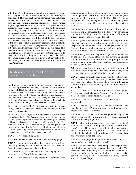with 4, and 2 with 3. During the following operating period, each plug will be fired at reverse polarity to the former operating period. This will result in even spark plug wear and longer service life. This rotational procedure works equally well on all four- and six-cylinder Lycoming engines except four-cylinder engines equipped with the single-unit dual magneto. This is a constant polarity magneto, and the only benefit to be gained by rotating the plugs is the reduction of lead deposit built up on the spark plugs when a rotational time period is established and followed. Another exception occurs on a few four-cylinder engines where one magneto will fire all of the top spark plugs and the other magneto will fire all of the bottom spark plugs. If the plugs are rotated as previously recommended, a polarity change will result but since the plugs do not get moved from top to bottom, no self-cleaning action by the engine will occur. This may result in the necessity to clean the bottom plugs at regular intervals as these are always the dirtiest. For those engines with magnetos which fire all top or bottom spark plugs, the choice of rotating plugs to change polarity or to obtain bottom-totop cleaning action must be made by the aircraft owner or the A & P mechanic.

Maintenance Suggestions From the Lycoming Service Hanger

Spark plugs are an important engine accessory. Perhaps it's because they do such an important job so well, yet are often taken for granted. This little fellow has character. For the alert, knowledgeable mechanic, Mr. Plug is ever willing to reveal its secrets pertaining to the health of the engine's fuel system, oil consumption, combustion chamber and even the engine treatment given by the pilot. We have come to lean heavily on Mr. Plug's ability to "tell a story." Actually, he's our ace troubleshooter.

To make it possible for Mr. Plug to do an even better job, we are listing some "do's and don'ts." These tidbits are directed at both the mechanic and pilot.

The massive electrode-type spark plugs are the least expensive to buy and do a fine job. The fine-wire platinum plug is more expensive but gives longer life, is less prone to frosting over during cold starts and appears to be less susceptible to lead fouling. The more expensive fine-wire iridium plug has all the qualities of the platinum plug, plus the fact that the iridium material resists lead-salts erosion to a much greater degree than platinum. This results in longer plug life. So — make your choice.

**DON'T** — reuse spark plug gaskets.

 $D\mathbf{D}$  — use the recommended torque when installing plugs.

**DON'T** — be a throttle jockey. For years, we have been preaching that engines don't like sudden throttle movement. Well, the spark plugs don't like it either.

 $\overline{D}D$  — after a successful flooded start, slowly apply high power to burn off harmful plug deposits.

**DON'T** — close-throttle idle any engine. Fuel contains a lead

scavenging agent that is effective only when the plug nose core temperature is 900˚ F or more. To attain this temperature, you need a minimum of 1200 RPM, (TIGO-541 is an exception). Besides, the engine's fuel system is slightly rich at closed-throttle idle. This ends up with Mr. Plug having a sooty face.

**DON'T**  $-$  fly with worn or dirty air filters or holes in induction hoses and air boxes, for this is the fastest way of wearing out engines. Mr. Plug doesn't like it either. One of his worst enemies is silicon (a fancy name for dirt).

 $\mathbf{D}$ **DN'T** — you mechanics, attempt to clean lead deposits from plugs with an abrasive-type cleaner (an excellent way to keep the plug manufacturer on overtime filling replacement orders). Use the vibrator-type cleaner sold by the plug manufacturers. Then, sparingly use the air-powered abrasive.

 $\overline{D}$  – properly lean your engine in flight as recommended by the Pilot's Operating Handbook and Lycoming Service Instruction No. 1094. In addition to being helpful to the engine in many ways, it also helps the plugs run cleaner, more efficiently and longer.

 $D -$  you mechanics, be a little more careful in gap setting of massive electrode plugs. The top and the bottom of the ground electrode should be parallel with the center electrode.

 **— reuse obviously worn plugs, regardless of how they** bomb check. More than 50% of the ground electrode eroded away; the center electrode shaped like a football; the center core of the ground electrode badly dimpled? If the answer is yes, replace.

 $\overline{D}D$  — use anti-seize compound when reinstalling plugs. Caution: only sparingly on the first three threads. Here is not a case of twice as much being twice as good.

**DON'T** — accept dirty and stained cigarettes; they may cause misfire.

**DON'T** — use any spark plug that has been dropped. One manufacturer says "If you drop it once, drop it twice — the second time in the trash barrel."

**DON'T** — reuse any plug with cracked porcelain, regardless of how it may have been working or how it bomb checked. It will cause serious preignition.

**DON'T** — shrug off oily spark plugs. New, topped or majored engines with some oil in the plugs is normal because rings haven't seated. High-time engine with oily plugs means rings are wearing out. One oily plug with others dry means a problem in the cylinder with the oily plug. (The bottom plugs are always first to tell the story.)

**DON'T** — clean plugs with a powered wire wheel. This is known as "a slow death on a fast wheel."

 $DDN'T$  — you mechanics, determine replacement spark plugs by referring to model number on old plug in the engine. The mechanic ahead of you may have installed the wrong model. Use the manufacturer's chart on all plug replacements; Also consult Lycoming Service Instruction No. 1042, "Factory Approved Spark Plugs."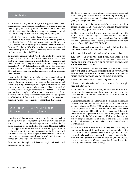## **Engine Hoses**

As airplanes and engines attain age, there appears to be a need to reemphasize the inspection or replacement of engine hoses or lines carrying fuel, oil or hydraulic fluid. The hose manufacturers definitely recommend regular inspection and replacement of all such hoses at engine overhaul even though they look good.

Age limit of rubber-steel or fiber-banded hose has generally been established at four years. This limit of four years is generally considered to be "shelf" life. All hose manufactured for aircraft use is marked indicating the quarter-year in which it was manufactured. The listing "4Q06" means the hose was manufactured in the fourth-quarter of 2006. Maintenance personnel should not use hoses with a high "shelf" life age.

To eliminate relatively short "shelf" life limits, Lycoming has phased in Teflon hoses with silicone-coated fire sleeves. These are the only hoses which are available for field replacement, and they will be found on engines shipped from the factory. Service Instruction No. 1274 lists the fuel and oil hoses used by Lycoming. It also explains how the numbering system defines hose size. This instruction should be used as a reference anytime hoses are to be replaced.

Lycoming Service Bulletin No. 509 must also be complied with if rubber hose is used to carry low-lead aviation gasoline. Aeroquip, the manufacturer of hose used by Lycoming, has recorded several failures of 601-type rubber hose. Although it is satisfactory for other purposes, this hose appears to be adversely affected by low-lead aviation gasoline. 601-type rubber hose used for low-lead aviation gasoline is to be replaced after no more than two years of use. Aeroquip and Lycoming recommend that rubber hose be replaced with Teflon hose. Teflon hose is normally unaffected by many of the operating variables that contribute to rubber hose degradation.

## Checking and Adjusting Dry Tappet Clearance on Lycoming Engines

Any time work is done on the valve train of an engine, such as grinding valves or seats, replacing valves or valve rockers, or any other component of the valve operating mechanism, the dry tappet clearance should be checked and adjusted to ensure that the correct tappet clearance is maintained. Any time tappet clearance is allowed to vary too far from prescribed limits, the engine will not operate properly. For example, if clearances are too small, burned valves or compression loss may result; and if clearances are too great, the engine will become noisy.

In both cases, the engine will become rough, and mechanical failure may be the result.

The following is a brief description of procedures to check and adjust the dry tappet clearance. After observing all safety precautions, rotate the engine until the piston is on top dead-center (TDC) of the cylinder to be checked.

1. Remove the rocker box cover, and also remove rocker shaft covers on angle head cylinders, valve rockers, thrust washer (angle head only), push rods and shroud tubes.

2. Then remove hydraulic unit from the tappet body. On TIO-541 and TIGO-541 engines, remove the unit with fixture ST-233. On all other engines, use special tool Part No. 64941 that can be purchased from Lycoming, or fabricate a puller from a piece of wire. NO MAGNET PLEASE.

3. Disassemble the hydraulic unit, and flush out all oil from the unit. Also, remove all oil from the tappet body.

4. Reassemble hydraulic unit, and install in the tappet body.

CAUTION **— Be sure and keep hydraulic units as one assembly because mixing hydraulic unit parts may result in changing the leak-down rate of the unit and may cause a rough operating engine**.

CAUTION **— After cleaning the hydraulic unit and tappet body, and unit is installed in the engine, do not turn the prop because this will pump oil into the hydraulic unit and result in an inaccurate dry tappet clearance check.**

5. Next, replace the shroud tubes using new seals.

6. Install push rods, valve rockers and thrust washer on angle head cylinders only.

7. To check dry tappet clearance, depress hydraulic unit by pressing on the push rod end of the rocker, and measuring the clearance between the valve stem and heel of the rockers by using a feeler gage.

On engines using rotators on the valves, the clearance is measured between the rotator and the heel of the rocker. In both cases, the clearance should be .028 to .080 on intake and exhaust valves on all engines except the TIO-541 and TIGO-541 series power plants; the latter should be .040 to .105. If clearance falls within these limits, no adjustment is necessary. It not, then adjust to within limits in the following manner: If clearance is too great, remove the push rod, and install a longer one. If clearance is too small, install a shorter push rod, and recheck to be sure clearance is within limits.

To determine a short push rod from a long one, check the part number on the end of the push rod. The lowest number is the shortest rod, and the highest number is the longest rod. On oldertype push rods, machined grooves will be found on one side of the push rod, three grooves represent the short rod, and no grooves represent the long rods. Consult Lycoming Service Instruction No. 1060 and applicable parts catalog.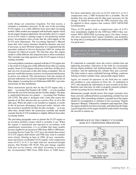#### Some Tips on the Lycoming 0-235 Engine

Little things are sometimes forgotten. For that reason, a reminder is sometimes necessary. In the case of the Lycoming O-235 engine, it is a little different from most other Lycoming models. Other models are equipped with hydraulic tappets which do not require frequent adjustment. Occasionally, there is a report of an O-235 which is running rough or not producing normal power. Investigation often reveals that the solid tappets of the O-235 need adjustment. The Lycoming Operator's Manual states that valve rocker clearance should be checked, and reset if necessary, at each 100-hour inspection. It is important that the procedure outlined in Service Instruction 1068 for setting this clearance be followed exactly. We find that since this engine model is a little different, this inspection item is often overlooked. This reminder may help operators of the O-235 engine to keep it running smoothly.

A second problem sometimes reported with the O-235 engine also is the result of it being just a little different from other Lycoming models. Some O-235 engines which use a full-flow oil filter have had very low oil pressure at idle after being overhauled. The oil pressure would then increase as power wasincreased and decrease as power was reduced. This inconsistency from the normal oil pressure indications was traced to improper installation of the oil filter adapter. Lycoming Service Publication SSP-885-1 provides instructions for this installation.

These instructions specify that for the O-235 engine only, a plate — Lycoming Part Number LW-12999 — is to be installed between the accessory housing and the oil filter adapter. The plate is sandwiched between two gaskets — Lycoming Part Number LW-12795. The plate is designed with a hole that meters the amount of oil flow and prevents an excessive flow of oil to the idler gear. When this plate is not installed as required, it results in the oil pressure discrepancy discussed earlier. Anyone who has occasion to install the oil filter kit after overhaul — or at any other time, should follow the instructions carefully and should consider that the O-235 installation is slightly different from other Lycoming models.

The preceding paragraphs seem to picture the O-235 engine as an eccentric problem creator which it certainly is not. When the engine is maintained and operated in accordance with manufacturer instructions, it is so reliable that many models became eligible for an increase in TBO from 2000 to 2400 hours. Lycoming Service Letter No. L213 gives the details that owners of O-235 engines built before mid-1986 may want to examine more closely. Starting in June of 1986, all new, remanufactured and factory-overhauled O-235 engines with compression ratios of 8.5:1 or 8.1:1 are built with new increased-strength pistons, Part Number LW-18729. This part change, together with past service history, will allow Lycoming to increase the recommended TBO from 2000 hours to 2400 hours. For those individuals who own an O-235 with 8.5:1 or 8.1:1 compression ratio, a TBO Extension Kit is available. The kit includes four new pistons and all other parts necessary for the change. It should be noted that the TBO extension may only be applied to those engines that contain 100% GENUINE Lycoming parts.

Those O-235 models with a compression ratio of 6.75:1 were immediately eligible for the 2400-hour TBO if they contained 100% GENUINE Lycoming parts. For those owners who have maintained their engine reliability and durability by using only Lycoming parts, this notification of increased TBO was good news.

Importance of the Correct Base Nut Tightening Procedure

It's important to constantly stress the correct cylinder base nut tightening procedure. Operators in the field are occasionally having engine problems and malfunctioning after reinstalling cylinders, and not tightening the cylinder base nuts correctly. The latter tends to cause crankshaft bearing shifting, crankcase fretting or broken cylinder studs, and possible engine failure.

Again, we remind all operators in the field that we called this problem to your attention in Flyer No. 15, published in 1972, and repeated the information in each revision of the Key Reprints since that time. In order to properly reinstall cylinders, consult Lycoming Service Instruction No. 1029.

Maintenance people should ensure that torque wrenches have been correctly calibrated before accomplishing cylinder base nut tightening. After reinstalling cylinders, a ground run of the engine should be accomplished as outlined in the Lycoming "Engine Operator's Manual," followed by a shutdown and inspection. Then the engine should be test flown normally, and following the flight, a good inspection of the engine should be made before returning the aircraft to routine use.



#### Importance of the correct cylinder base nut tightening proceDure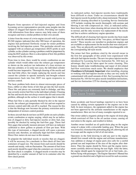## Fuel Injector Nozzles Have Been Improved

Reports from operators of fuel-injected engines and from Lycoming service representatives provide some insights into the subject of clogged fuel-injector nozzles. Providing our readers with information from these sources may help some of them recognize and treat a similar problem in their own aircraft.

A letter from the owner of a twin-engine aircraft with Lycoming IO-540 engines indicated that after 900 hours of operation, the engines had performed flawlessly except for minor problems involving the fuel-injection system. This particular aircraft was equipped with an exhaust gas temperature (EGT) probe at each cylinder, so the cylinder causing a problem could be pinpointed by using the EGT analyzer. Here is a description of how this problem was observed by this owner.

From time to time, there would be erratic combustion on one cylinder which would either raise the exhaust gas temperature as shown on the analyzer (an indication of a lean mixture on that one cylinder), or in some rare cases, the individual cylinder would become inoperative. Thorough cleaning of the nozzle and line had little effect, but simply replacing the nozzle and line caused the cylinder to operate normally and brought exhaust temperatures back into line; EGT was again responsive to mixture control.

The basic problem boils down to almost microscopic pieces of brass, rubber or other forms of dirt that get into the fuel nozzle. These bits and pieces are extremely hard to dislodge, and they may severely restrict fuel flow to the individual cylinder. Cleaning the line and nozzle does not always remove the dirt and correct the problem, although on the surface it would appear that it should.

When fuel flow is only partially blocked by dirt in the injector nozzle, the exhaust gas temperature will rise and not respond to mixture control until idle cut-off is reached. The reason for this is that the blockage now becomes the primary restriction and is independent of mixture-control position.

In those aircraft that do not have an EGT probe on each cylinder, erratic combustion or engine surging, which may be an indication of clogged or dirty fuel-injector nozzles or dirty fuel, may possibly be checked by noting the fuel-flow gage. Those fuel flow gages that actually measure pressure will have an indicator calibrated to show gallons or pounds of flow per hour. With this type of instrument, a clogged nozzle will cause a pressure increase and, therefore, an unusually high fuel-flow indication. Direct flow meters do not react in this manner.

To pinpoint the individual nozzle or nozzles that are clogged, it will be necessary for a mechanic to flow-check all lines into containers of equal size. The stream from each nozzle should be smooth and steady, with no fluctuation. The amount of fuel from each nozzle should be equal when the containers are viewed after the flow-check is complete. A clogged nozzle or nozzles may be identified by a smaller amount of fuel in its container after the flow-check period.

As indicated earlier, fuel-injector nozzles have traditionally been difficult to clean. Under no circumstances should the fuel-injector nozzle be probed with a sharp instrument. The proper method of cleaning described in Lycoming Service Instruction 1275 includes washing the nozzle thoroughly with acetone and blowing it out with compressed air. Also, as indicated earlier, there have been times when cleaning did not return the fuel flow to normal, and the only recourse was replacement of the nozzle and line to achieve satisfactory engine operation.

The difficult job of cleaning fuel-injector nozzles has been made easier with the introduction of the "two-piece, air-bleed injector nozzle." These nozzles are installed in production engines and are available as replacements for the nozzles that were used previously. They are physically and functionally interchangeable with the corresponding old-style nozzle.

The minor fuel flow problems cited by the aircraft owner in the first few paragraphs of this article were experienced with old-style fuel-injector nozzles. The new two-piece injector nozzles introduced by Lycoming Service Instruction No. 1414 have an advantage; they can be taken apart for easier cleaning. This feature should make troubleshooting and repair of dirt-related fuel-flow restrictions much easier. We should emphasize that **Cleanliness is Extremely Important** when installing, cleaning or working with fuel-injector nozzles as they can very easily be contaminated with small amounts of dirt. See Lycoming Service Instruction No. 1414 for two-piece nozzle installation instructions, and Service Instruction 1275 for cleaning and test information.

## Unauthorized Additions to Your Engine Can Cause Trouble

Some accidents and forced landings reported to us have been caused by adding certain equipment to the engines out in the field. In most instances, the equipment added to the engine has not been approved by the airframe manufacturer or the engine manufacturer. Here are two of many examples reported to us:

One owner added a magnetic pickup to the engine oil drain plug which restricted oil flow to the oil suction screen, causing oil starvation to the engine, and resulted in failure.

Another owner installed an oil quick-drain plug on the engine sump of a plane with a retractable landing gear. When the gear was retracted, it knocked the protruding plug off, allowing the oil to escape and the engine to fail of oil starvation.

Operators in the field desiring to add any part to the engine should first consult with the engine and airframe manufacturer. Any addition or change of engine parts also calls for a careful ground run and inspection of the area of the engine after shutdown. Then the engine should be flown and the engine instruments carefully observed during the test flight. After the latter, the engine should again be inspected for oil or fuel leaks, etc., before flying with passengers. The Engine Operator's Manual has a ground-run checklist and a flight-test record for such occasions.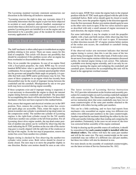The Lycoming standard warranty statement summarizes our discussion in the following all-inclusive statement:

"Lycoming reserves the right to deny any warranty claim if it reasonably determines that the engine or part has been subjected to accident or used, adjusted, altered, handled, maintained or stored other than as directed in your operator's manual, or if nongenuine Lycoming parts are installed in or on the engine and are determined to be a possible cause of the incident for which the warranty application is filed."

# A Simple Check of Internal Engine Timing

The A&P mechanic is often called upon to troubleshoot an engine problem relating to low power. There are many causes for this kind of complaint. This article will discuss one possibility that should be considered if this problem occurs after an engine has been overhauled or disassembled for other reasons.

First, let us consider the symptoms. In case of an engine fitted with a fixed-pitch propeller, the static RPM may be several hundred RPM below what is specified for this engine/airframe combination. For an engine with a constant-speed propeller which has the governor and propeller blade angle set properly, it is possible that both static RPM and/or performance may be low. The cause of these symptoms in an engine which has recently been disassembled may be the result of improper timing between the crankshaft and the camshaft. Misalignment by one or two gear teeth may have occurred during engine assembly.

If these symptoms exist and if improper timing is suspected, it is not necessary to disassemble the engine to check the internal engine timing between crankshaft and camshaft. The procedure for accomplishing this check will be detailed below for thoseA&P mechanics who have not been exposed to this method before.

First, ensure that magneto and electrical switches are in the OFF position. Next, remove the cowling so that rocker box covers and spark plugs are accessible. Then, rotate the engine so the piston in number-one cylinder is positioned at top-dead center on the compression stroke. The number-one cylinder of Lycoming engines is the right-front cylinder except for the 541 models which have number-one cylinder at the left-front position. For all Lycoming direct drive engine models, the top dead-center position of number-one piston can be verified by observing that the mark indicating the #1 TDC position on the rearside of the starter ring gear is exactly aligned with the split line of the crankcase at the top of the engine. As the last step of preparation, remove the rocker box cover from number-two cylinder.

Engine timing is checked by first observing the number-two cylinder valve rocker arms. Both valves should be closed or nearly closed. The next step is to move the propeller slightly in one direction. Rocker arm motion should be seen as one valve

starts to open. STOP. Now rotate the engine back to the original position with the #1 TDC mark again aligned with the split in the crankshaft halves. Both valves should again be closed or nearly closed. Now, move the propeller slightly in the direction opposite from the first movement. Rocker arm motion should again be seen as the other valve starts to open. If the two valves started to open as described with only a small amount of engine movement in each direction, the engine timing is correct.

For some individuals, it may be simpler to rock the propeller slightly with a back and forth motion while observing that first one valve and then the other will start to open. If movement in either direction exceeds 20˚ of engine rotation before motion of the rocker arm occurs, the crankshaft to camshaft timing is not correct.

If the observed rocker arm movement indicates that internal engine timing is correct, then this is not the cause of the low power being investigated. On the other hand, if both rocker arms do not move from engine rotation within the parameters discussed earlier, the internal engine timing is not correct. This indicates a probable error during engine assembly, and it can only be corrected by opening the engine and realigning the crankshaft and camshaft gears. Instructions for accomplishing this task will be found in the appropriate overhaul manual.

## Installation of Counterweight Rollers

The latest revision of Lycoming Service Instruction No. 1012 provides information on the location and assembly procedure for counterweights on each Lycoming crankshaft equipped with counterweights. The illustrations and engine listing in this service instruction show that some crankshafts may have two or more counterweights of the same part number attached to the crankshaft with rollers having unlike part numbers.

This can be a little confusing, and we have had reports from mechanics who assembled an engine using two different-size rollers (two different part numbers) in the same counterweight. Another report had the mechanic identifying the rollers by the size of the part number lettering rather than reading and comparing the part numbers. Fortunately, in the cases we are aware of, the error was corrected before assembly of the engine continued.

To help in clearing up this possible source of confusion, it should be remembered that **each counterweight is installed with two identical rollers.** The rollers will have the same part number and will be the same size. The next counterweight on the same crankshaft may use rollers of a different size and part number, but these two rollers will also be identical in size.

For more details on the assembly of crankshaft counterweights, see the latest revision of Service Instruction No. 1012.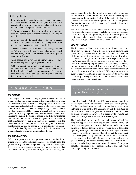## Safety Notes

In an attempt to reduce the cost of flying, some operators have resorted to methods of operation which are considered to be unsafe. Lycoming makes the following recommendations regarding these practices:

1. Do not advance timing — set timing in accordance with the Engine Operator's Manual for the specific engine model.

2. Do not use a hotter spark plug for low-power cruise — unless it is approved for the specific engine as listed in Lycoming Service Instruction No. 1042.

3. Do not abbreviate the warm-up of a turbocharged engine — follow the instructions of the manual pertaining to oil temperatures, otherwise an overboost or erratic power condition will result.

4. Do not use automotive oils in aircraft engines — they will cause engine damage or possible failure.

5. Do not use automotive fuel in aviation engines. Quality of automotive fuel varies widely and additives may result in deterioration of fuel system components. The engine manufacturers contend that use of auto fuel in an aircraft induces unnecessary risk.

## Engine Suggestions for Operators

#### OIL FILTERS

Clean engine oil is essential to long engine life. Generally, service experience has shown that the use of the external full-flow filter can increase the time between oil changes provided that the filter elements are replaced at each oil change. Under normal operating circumstances, the oil should be changed every 50 hours, and the oil filter element should be replaced after each 50 hours of engine operation. It is very important that the filter element be cut open in order to examine the material trapped in the filter for evidence of internal engine condition. However, operation in dusty areas or cold climates may require more frequent oil changes despite the use of an oil filter. An engine which sits for long periods between flights should have an oil change at four-month intervals regardless of the limited flight time accumulated. The filter cannot filter water and acids which may accumulate in the oil.

#### OIL CONSUMPTION

Oil consumption is a very important trend to monitor in an engine. The operator and maintenance people should know the general history of oil consumption during the life of the engine. It is typical of an engine during seating of new piston rings that oil consumption may be erratic or high; but after the rings are

seated, generally within the first 25 to 50 hours, oil consumption should level off below the maximum limits established by the manufacturer. Later, during the life of the engine, if there is a noticeable increase of oil consumption within a 25-hour period (one quart or more per hr.), this could be a danger signal and calls for an investigation.

The oil screens and filter should be carefully observed for signs of metal, and maintenance personnel should take a compression check of the cylinders, preferably using differential pressure equipment, and also look inside the cylinders with a borescope or gooseneck light to detect any unusual condition.

#### THE AIR FILTER

The induction air filter is a very important element in the life of an aircraft engine. With the modern high-performance power plant, the operator must keep dirt and abrasives out of the engine if it is to attain the expected life and troublefree hours. Although this is a maintenance responsibility, the pilot/owner should be aware that excessive wear and early failures of reciprocating engine parts is due, in many instances, to contaminates introduced through or around the air filter. The aircraft manufacturer's instructions for maintenance of the air filter must be closely followed. When operating in very dusty or sandy conditions, it may be necessary to service the filters daily or every few hours in accordance with the airframe manufacturer's recommendations.

## Recommendations for Aircraft or Engine Struck by Lightning

Lycoming Service Bulletin No. 401 makes recommendations to operators any time an aircraft has been struck by lightning. It points out that damage to an aircraft, that has been struck by lightning is often confined to a specific area of the structure. In such instances where the engine and its accessories, controls, fuel or exhaust systems are involved, it is necessary to evaluate and repair the damage before the aircraft is flown again.

The Service Bulletin explains that although the path of the lightning may appear to have been around the external housings of the engine components, it is nevertheless impossible to assess the internal damage that might have occurred by heat during the lightning discharge. Therefore, in the event the engine has been damaged by lightning, disassemble and inspect the component parts. Heat generated by the arcing effect of the electrical discharge can cause irreparable damage to the hardened surfaces of ball bearings, crankshaft bearing surfaces, camshaft lobes, gear teeth, and other parts that are surface hardened. These parts should not be reused if discoloration, cracks, or other indication of damage by lightning is evident.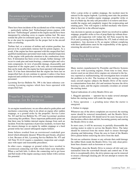## Recommendation Regarding Use of Incorrect Fuel

There have been incidents of the accidental use of the wrong fuel — particularly turbine fuel. Turbocharged piston engines with the term "Turbocharged" painted on the engine nacelle have been interpreted by refueling crews to require turbine fuel. We must remind the pilot-in-command again, as we have over the years, he or she must be responsible for the proper fuel in the aircraft tanks at refueling.

Turbine fuel, or a mixture of turbine and aviation gasoline, has proven to be a particularly ruinous fuel for piston engines. As a result, if the engine has been operated with this unspecified fuel, qualified maintenance personnel must make a detailed inspection of the engine with particular attention to the combustion chambers. If detonation has been severe enough, further damage will occur to crank pins and main bearings, counterweights and valve train components. In view of possible damage, disassembly and inspection of the engine parts is the only safe recommendation that can be made after the engine has been operated with improper fuels. If it has been determined that the engine has been run on unspecified fuel, do not continue to operate it unless it has been inspected and certified to be airworthy by competent maintenance personnel.

Lycoming Service Bulletin No. 398 is the latest reference concerning Lycoming engines which have been operated with unspecified fuel.

## Propeller Ground Strike or Sudden Stoppage Can Be Dangerous

As an engine manufacturer, we are often asked to guide pilots and mechanics concerning what to do about an engine after sudden stoppage, or a ground strike by the propeller. Service Letter No. 163 and Service Bulletin No. 475 state Lycoming's position concerning this problem. These important publications point out that there may be hidden internal engine damage from such an incident. From the experience of previous incidents, we know that the unseen damage to an engine by sudden stoppage or a hard ground strike has caused subsequent engine failures.

Some failures resulted from an overstressed crankshaft gear dowel which ultimately sheared. When this part breaks, all power is lost. Because of this, Lycoming Service Bulletin No. 475 and AD Note 91-14-22 require a mandatory inspection and compliance with repair and reassembly procedures.

In other cases, stoppage or ground strikes have resulted in overstressed connecting rod bolts which failed soon thereafter. When a rod bolt fails, it allows the connecting rod to get loose and flail inside of the engine causing a nasty failure with a serious fire potential.

After a prop strike or sudden stoppage, the incident must be entered in the engine logbook. Lycoming must take the position that in the case of sudden engine stoppage, propeller strike or loss of a blade tip, the only safe procedure is to remove and disassemble the engine and completely inspect the reciprocating and rotating parts. This will require a skilled mechanic who knows what to look for in the affected engine.

Any decision to operate an engine which was involved in sudden stoppage, propeller strike or loss of prop blade tip without disassembly and inspection will violate the AD Note issued by the FAA and Lycoming Service Bulletin No. 475, both of which are mandatory. Any decision to fly an engine without complying with these publications must be the responsibility of the agency returning the aircraft to service.

## Keep Your Direct-drive Engine Starter Clean to Avoid Trouble

Many starters manufactured by Prestolite and Electro Systems are in use with Lycoming engines. From time to time, these starters used on our direct-drive engines are returned to the factory reported as malfunctioning, but investigation here revealed the problem to be dirt. The location of the starting motor on many aircraft engines subjects the Bendix Drive of the starter to contamination from dust, dirt and moisture because the drive housing is open, and the engine constantly circulates air around the starting motor.

Typical indications of a dirty Bendix Drive are:

1. Sluggish operation — operator has to make several attempts before the starting motor will crank the engine.

2. Noisy operation  $-$  a grinding noise when the starter is energized.

3. Failure to engage.

Whenever any of the above complaints are received, the starting motor should be removed immediately and the Bendix Drive cleaned and lubricated. Oil should never be used, because oil in that location collects dust and dirt, becoming gummy and causing the Bendix Drive to stick.

In most cases, it will be necessary to partially disassemble the starting motor in order to service the Bendix Drive. The latter should be removed from the motor shaft to ensure thorough cleaning and lubricating. Clean the area in front of the Bendix Drive pinion before removing the drive from the shaft.

Do not use carburetor cleaner or any solvents that could damage the rubber block inside the Bendix Drive. Use only clean petroleum base cleaners such as kerosene or varsol.

Thoroughly clean the Bendix Drive to remove all dirt and contamination from the screwshaft threads and control nut. If the drive is exceptionally dirty, the drive pinion cup can be removed to ensure a thorough cleaning job. Do not attempt to remove the control nut.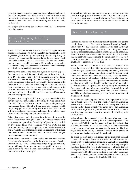After the Bendix Drive has been thoroughly cleaned and blown dry with compressed air, lubricate the screwshaft threads and ratchet with a silicone spray. Lubricate the motor shaft with the same silicone lubricant before installing the drive assembly on the shaft.

The subject of Lycoming Service Instruction No. 1278 is starter drive lubrication.

## Notes on Replacing Connecting Rods or Pistons

An article on engine balance explained that certain engine parts are organized in matched sets, by weight, before they are installed in an engine being built at the Lycoming factory. Occasionally, it may be necessary to replace one of these parts during the operational life of the engine. When this happens, mechanics in the field should know that Lycoming parts which are matched by weight when an engine is built should only be replaced with parts which fall within design specifications for service (replacement) parts.

Starting with connecting rods, the system of marking specifies that each part will be marked with one of these letters: A, B, S, D or E. Connecting rods with the same identifying letter are installed when the engine is new; if only one or two rods are to be replaced in the field, they must be those marked with the letter S. The S indicates a "service part" which will always have a median weight. Use of a connecting rod stamped with an S will ensure that the weight match between rods is always within the tolerance allowed by the Lycoming specification for that particular part number.

If a piston is to be replaced, it is strongly recommended that the power plant mechanic refer to Lycoming Service Instruction No. 1243. This service instruction shows that certain piston part numbers are designed to fall within a specified standard weight range. Any genuine Lycoming piston with that part number will be a satisfactory replacement, although the weights of each piston should be compared before installation.

Other pistons are marked as A or B weights and are used in matched sets when an engine is built. When these pistons must be replaced as a partial set, "service part" pistons are provided by Lycoming. These will be marked with AS or BS and are restricted to a very narrow weight range that falls between the A and B weights. Use of these pistons as replacements will ensure that the entire set, both old and new, fall within overall weight limit tolerances set by Lycoming.

When pistons are installed in an engine, another consideration for standardization of weight is the piston pin plug. Service Instruction No. 1267 describes three piston pin plugs currently in use. Although these three are interchangeable, they must be used in complete sets of the same part number because each part number has a different weight.

Connecting rods and pistons are one more example of the need for appropriate reference materials when working on Lycoming engines. Overhaul Manuals, Parts Catalogs or service instructions are the source for those details we cannot retain in memory.

## Does Your Nose Seal Leak?

Perhaps the first step in discussing this subject is to first get the terminology correct. The latest revision of Lycoming Service Instruction No. 1324 calls it a crankshaft oil seal. Although almost everyone knows exactly what you are talking about when the term nose seal is used, correct terminology can be important. Should this seal leak immediately after installation, it is possible that the seal was damaged during the installation process, but a poor fit between the crankcase and seal or the crankshaft and seal could also be responsible for the leak.

Before installation of a crankshaft oil seal, it is important to check the recess into which it fits for proper size. Excessive wear which enlarges the crankcase bore for any reason may cause the crankshaft oil seal to leak. An undersize crankshaft could result in the same poor fit and a leak. This is usually caused by a rusty or pitted surface which has been polished excessively. Lycoming Service Instruction No. 1111 specifies the maximum undersize grind or polish which is allowable for the removal of rust or pits. It also prescribes the procedures for replating the crankshaft flange and seal area. Measurement of both the crankshaft and the crankcase to ensure that they meet Table of Limit tolerances should be standard maintenance procedure before installation of a crankshaft oil seal.

To avoid damage during installation, it is important to follow the instructions provided in the latest revision of Lycoming Service Instruction No. 1324. This instruction gives information on the two types of seals which may be used in Lycoming direct-drive engines, the part numbers of both the standard and the oversized seals, and the method of installing both types of seal.

When a leak at the crankshaft oil seal develops after many hours of normal operation, it is usually the result of other problems. The experienced Field Service Engineers at Lycoming indicate that a leaking crankshaft oil seal is frequently caused by a restricted breather or an oil-slinger clearance that is too tight. The leak might also be caused by a propeller defect which places an abnormal side load on the crankshaft oil seal.

To avoid the problem of oil leakage at the crankshaft oil seal because of an engine breather restriction, examination of the breather tube to determine its condition is an excellent idea. If the tube is in good condition, also remember that the engine expels moisture through the tube. Under freezing conditions, there is some possibility that the moisture may freeze at the end of the tube and ice will build up until the tube is completely restricted. Should this happen, pressure may build up in the crankcase until something gives — usually the Crankshaft Oil Seal.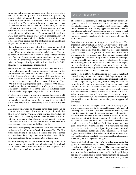Since the airframe manufacturers know this is a possibility, and since they design with the intention of preventing engine-related problems of this kind, some means of preventing freeze-up of the crankcase breather is usually a part of the aircraft design. The breather tube may be insulated, it may be designed so the end is located in a hot area, it may be equipped with an electric heater, or it may incorporate a hole, notch or slot which is often called a "whistle slot." Because of its simplicity, the whistle slot is often used and is located in a warm area near the engine where it will not freeze. Aircraft operators should know which method of preventing freeze-up is used and then ensure that the configuration is maintained as specified by the airframe manufacturer.

Should leakage at the crankshaft oil seal occur as a result of oil-slinger clearance which is too tight, the problem can initially be identified by checking for excessive end clearance. This can be done with a dial indicator. Remove the prop and then push the prop flange to the extreme aft position and zero the indicator. Then, pull the prop flange full forward and read the travel on the indicator. Compare this figure with the limits listed in the Table of Limits for the appropriate engine model.

Should the end clearance exceed the limits specified, the oilslinger clearance should then be checked. First, remove the old nose seal, and clean the work area. Again, push the crankshaft to the rear of the engine. Insert a .002 inch feeler gage about 3/16-inch wide between the oil slinger on the crankshaft and the crankcase. Again, pull the crankshaft forward. If the .002-inch feeler gage is pinched tight, the required .002- to .007 inch clearance has been exceeded. Lack of appropriate clearance is the result of excessive wear on the crankcase thrust face which will allow oil to be pumped out past the crankcase oil seal.

Overhaul time is usually when the crankcase thrust face might receive needed repair. Should the crankcase oil seal be leaking excessively, it may simply mean that overhaul time has arrived early. Fortunately this is something which does not happen very often.

Crankcases with worn or damaged thrust face areas can be repaired by reworking the thrust face area to permit installation of new thrust-bearing washers. These bearings are available as repair items. Thrust-bearing washers may be reused if they do not show wear and if their thickness is sufficient to maintain compliance with the crankshaft and crankcase end-clearance specifications in the Lycoming Table of Limits.

Instructions for repairing the crankcase thrust face are found in the latest revision of Lycoming Service Instruction No. 1354. This repair should bring the oil-slinger clearance back into tolerance and should cure the leaking crankcase oil seal which would also have been replaced during the reassembly of the engine.

The information provided in this brief article may help aircraft owners to prevent the possibility of a leaking crankshaft oil seal and to understand the serious nature of the repair required if this seal is found to be leaking excessively.

## Cam and Tappet Wear

The lobes of the camshaft, and the tappets that they continually operate against, have always been subject to wear. Someone recently stated that in recent years, there has been an unacceptable rise in the occurrence of spalling tappets and worn cam lobes. Is this a factual statement? Perhaps it may help if we take a look at one or two of the causes of wear on these parts. From this, we may reach a conclusion about why this statement could possibly be true today.

Corrosion is a known cause of tappet and cam lobe wear. The engines of aircraft that are not flown regularly may be extremely vulnerable to corrosion. When the film of oil drains from the interior parts of the engine after it has been run, those parts become prey to the chemical changes that are caused by moisture, acids and oxygen. Tappets from engines which have not been operated for long periods have been closely examined. Under a microscope, it is not unusual to find microscopic pits on the face of the tappet. This is the beginning of trouble. Starting with these very tiny pits, tiny particles of rust also affect the cam lobes. Once started, the process is not likely to stop until the wear reaches a point where these parts are doing an unacceptable job.

Some people might question the assertion that engines can attract unusually large amounts of moisture: brief operating periods, low engine oil operating temperatures and condensation all contribute. It might be very surprising to take an engine which has flown 15 to 25 hours over the course of four to six months and drain the oil into a clear container. The amount of water which settles to the bottom is likely to be more than one would expect. Also remember that combustion causes acids to collect in the oil. When these are not removed by regular oil changes, the acids, as well as the moisture, will promote the growth of microscopic pitting which eventually leads to excessively worn tappets and cam lobes.

Another factor in the unacceptable rise of tappet spalling in general aviation engines may be the product that is put into many of those engines at overhaul. To reduce the costs of overhaul, there is an increasing tendency to put reground camshafts and tappets into these engines. Although camshafts may be reground, there is a very strict limit on the amount of grinding which can be tolerated. Grind too much, and the hardened surface of the cam lobe is gone. After this kind of grinding, the cam may look great, but it will be wearing on the soft metal which was once protected by a hardened surface. Lycoming does not recommend the use of reground tappets under any circumstances, but many engines overhauled in the field today come back to the owner with reground tappets and camshaft. In some cases at least, these items are nothing more than good-looking junk.

Because of the high percentage of refurbished used parts that go into many overhauls, and the many airplanes that sit for long periods without being flown, there could be more tappet spalling today than in the past. These are some of the reasons why the statement that there has been an unacceptable rise in spalled tappets and worn cam lobes in recent years might just be true. Ask about the parts which are going into your overhaul. It may be less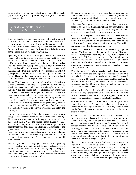expensive to pay for new parts at the time of overhaul than it is to pay for replacing worn-out parts before your engine has reached its expected TBO.

# Exhaust System Maintenance Pay Now or Pay Later

It is unfortunate that the exhaust systems attached to aircraft engines are one of the most overlooked and ignored parts of the aircraft. Almost all aircraft with normally aspirated engines have an exhaust system supplied by the airframe manufacturer. Engines which are turbocharged by Lycoming will also have most of the exhaust system supplied by Lycoming.

Lycoming technical representatives get many calls about exhaust system problems. It makes no difference who supplied the system. There are several areas where discrepancies may occur: loose baffles in the muffler, exhaust leaks at the exhaust flange gasket and slipjoints that do not slip. Exhaust gas leakage at the exhaust flange gasket will cause erosion of the aluminum cylinder head material, and a frozen slipjoint will cause cracks in the exhaust pipe system. Loose baffles in the muffler may result in a loss of power. These problems can be minimized by regular exhaust system maintenance at each periodic inspection.

The muffler should be checked carefully each time the exhaust system is inspected or anytime a loss of power is evident. Baffles which have come loose tend to lodge at various places inside the muffler. When the exhaust outlet is blocked, a power loss will occur due to the excessive back pressure created in the exhaust system. Attempting to look into the muffler may reveal baffling which is loose, but usually this is not something that can be determined visually. A sharp bump on the muffler with the palm of the hand while listening for any rattling sound may produce better results than looking. If loose baffling is found, the muffler should be replaced with a new or overhauled unit before the next flight.

Another important part of the exhaust system is the exhaust flange gasket. Three different types are available from Lycoming. The manufacturing standard is the copper/asbestos gasket or the beaded gasket. Where the beaded exhaust flange-type gaskets are used, they must be assembled (two each per exhaust port flange) with their beads interlocking. The flat side of the gasket must face toward the cylinder head, and the raised or bead side, toward the exhaust stack. After initial installation, exhaust flange nuts should be carefully retorqued after the first 25 hours of engine operation. These standard gaskets should not be reused.

The third type of exhaust flange gasket available from Lycoming has V-shaped spiral wound layers of stainless steel and asbestos. These gaskets are available for all Lycoming engines using the 2- or 3-hole gasket design. This design provides a resilient action that automatically adjusts for mechanical compression, internal pressure variations and temperature changes.

The spiral wound exhaust flange gasket has superior sealing qualities and, unless an exhaust leak is evident, may be reused when the exhaust manifold is loosened or removed. New gaskets should always be used when the engine is overhauled.

All exhaust flange gaskets which were originally designed with asbestos as one of the basic materials are now manufactured to a new standard. Although the part number may be the same, asbestos has been replaced with an alternate material.

At each periodic inspection, the exhaust system should be checked to ensure that exhaust gases are not leaking at the exhaust flange. A leak can be identified by the powdery residue which will be evident around the place where the leak is occurring. Thisresidue may range from white to light brown in color.

A leak at the exhaust flange gasket is often caused by improper torquing. Too little torque, and the connection loosens. Too much torque, and the gasket will bow slightly — again allowing exhaust gases to leak. If left uncorrected, erosion of the aluminum cylinder head material will occur quite quickly. A loss of material amounting to only a few thousandths of an inch could be enough to make the cylinder unusable. Therefore, correcting the problem quickly is essential.

If the aluminum cylinder head material has already eroded as the result of an exhaust gas leak, repair is sometimes possible. This cannot be done by hand. Studs must be removed, and the damaged surface refinished by use of a milling operation. No more than 20 thousandths of an inch may be removed. Should it be necessary to remove more than 20 thousandths of an inch to obtain a true surface, the cylinder should be replaced.

Where erosion of the cylinder head has not occurred, replacing the exhaust flange gasket with a new one will usually eliminate the leak. Ensuring that the correct torque is applied during installation of the gasket is necessary to avoid future problems.

Fortunately, an exhaust leak at the exhaust flange is not a frequent occurrence. A close visual check at each periodic inspection and prompt attention to correct any defect which may be found will usually be enough to avoid the need for more expensive repairs.

Exhaust systems with slipjoints present another problem. The joints are necessary because the pipes must move. Vibration, along with heating and cooling of the system that causes expansion and contraction make it essential that the system be designed so that it has flexibility. Exhaust residue and heat may eventually cause slipjoints to seize. Because a slipjoint which has seized can be expected to cause breakage of the exhaust system pipes, regular maintenance to keep these joints free is a must. Mouse Milk or a similar lubricant should be applied to the slipjoint at regular intervals to prevent seizing of the pipes.

Maintenance of an exhaust system with slipjoints is a pay now, or pay later situation. If the preventive maintenance is not accomplished, it will mean buying new parts for the exhaust system. Paying for a new exhaust system is not the worst part. A broken pipe could allow hot exhaust gases to escape into the engine compartment where there is the potential for fire which would further damage the aircraft and present a serious hazard for pilot and passengers.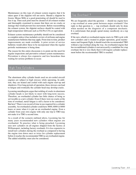Maintenance on this type of exhaust system requires that it be taken apart if the slipjoint will not move. Should a slipjoint be frozen, Mouse Milk or a good penetrating oil should be used to free it up. Then each joint must be cleaned of all exhaust residue and thoroughly examined to ensure that there are no cracks or damage that would prevent free movement. Before reassembling the exhaust system, the slipjoint surfaces should be coated with high-temperature lubricant such as Fel-Pro C5A or equivalent.

Exhaust system maintenance probably should not be considered as complete unless it has included a review of airframe and engine manufacturer bulletins that may apply. From time to time, product improvements are made available. A prior review of service bulletins would allow these to be incorporated when the regular periodic maintenance is being done.

The reason for this entire discussion is to point out the need for regular inspections and preventive exhaust system maintenance. Prevention is always less expensive and less hazardous than waiting for serious problems to occur.

## High Time Cylinders

The aluminum alloy cylinder heads used on air-cooled aircraft engines are subject to high stresses while operating. In addition, they are heated and cooled with each engine start-up and shutdown. Over long periods of operation, these stresses can lead to fatigue and eventually the cylinder head may develop cracks.

Lycoming metallurgists argue that welding of cracks in aluminum cylinder heads is not likely to meet with long-term success. Therefore, an overhauled cylinder has little chance of being as serviceable as a new cylinder. Even if there were no cracks at the time of overhaul, metal fatigue is still a factor to be considered. But how? There is no record of time in use required for a cylinder assembly. An overhauled cylinder could have 4000, 6000 or 8000 hours or more when it is put on an overhauled engine. Even a cylinder from your own engine with only one trip to TBO may not make it to TBO a second time.

As a result of the scenario outlined above, Lycoming has for many years recommended new cylinders when engines are overhauled. To practice what is being preached, Lycoming uses new cylinders on all engines shipped from the factory at Williamsport, including factory overhauls. It is less expensive to install new cylinders during the overhaul as compared to having the engine torn down once or twice for cylinder replacement before it reaches the recommended TBO as an overhauled engine. The added reliability must also be considered.

## Top Overhaul ?

We are frequently asked the question — should my engine have a top overhaul at some point between major overhauls? Our reply to that question is — top overhauls should only be done when needed on the diagnosis of a competent mechanic. It is unfortunate that people spend money needlessly on a top overhaul.

If the new, rebuilt or overhauled engine starts its TBO cycle with new cylinders and is treated to proper operation, good maintenance and frequent flight, it should reach the recommended TBO without a top overhaul along the way. An overhauled engine that has reconditioned cylinders is not necessarily a candidate for a top overhaul, but it is very likely that it will require cylinder replacement before the recommended TBO is reached.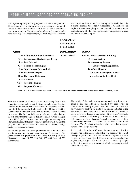# YCOMING MODEL CODE FOR RECIPROCATING ENGINES

Each Lycoming reciprocating engine has a model designation. The designation is made up of a prefix which is a series of letters, a three-digit number and a suffix which combines letters and numbers. The letters and numbersin this model code have meaning. Most people who fly or work on general aviation aircraft are curious about the meaning of the code, but only a small number thoroughly understand it. Perhaps the explanation and examples provided here will promote a better understanding of what the engine model designations mean. Below are some examples:

|                                         | $IO-540-AA1A5$       |                                    |
|-----------------------------------------|----------------------|------------------------------------|
|                                         | <b>IO-360-A3B6D</b>  |                                    |
| PREFIX                                  | <b>DISPLACEMENT</b>  | SUFFIX                             |
| $L = Let$ t-hand Rotation Crankshaft    | <b>Cubic Inches*</b> | A or $AA$ = Power Section & Rating |
| $T =$ Turbocharged (exhaust gas driven) |                      | 3 = Nose Section                   |
| $I =$ Fuel Injected                     |                      | <b>B</b> = Accessory Section       |
| $G = Geared$ (reduction gear)           |                      | 6 = Counterweight Application      |
| $=$ Supercharged (mechanical)<br>S      |                      | D = Dual Magneto                   |
| $V = Vertical Helicopter$               |                      | (Subsequent changes to models      |
| $H =$ Horizontal Helicopter             |                      | are reflected in the suffix.)      |
| $A = Aerobatic$                         |                      |                                    |
| $AE = Aerobatic Engine$                 |                      |                                    |

**TO-360-C1A6D**

**O = Opposed Cylinders**

*\*Note (541) — A displacement ending in "1" indicates a specific engine model which incorporates integral accessory drive.*

With the information above and a few explanatory details, the Lycoming engine code is not difficult to understand. Starting with the prefix section, an O will be found in the engine designation of all flat-opposed cylinder engines. In addition to the O, a combination of the other letters may be used to further describe the engine. The O alone indicates a carbureted engine, but an IO will show that the engine is fuel injected. A further example is the TIGO prefix. Broken down, this says that the engine is (T) turbocharged, (I) fuel injected, (G) geared (which means the prop will run at a lower speed than the crankshaft) and, finally, the (O) for opposed cylinders.

The three-digit number always provides an indication of engine size in terms of approximate cubic inches of displacement. Engines currently in production at Lycoming Williamsport have displacement values of 235, 320, 360, 435, 480, 540 and 720 cubic inches.

The suffix of the reciprocating engine code is a little more complex and the differences signified by each letter or number are not readily apparent. The first characters of the suffix will always apply to the parts of the engine indicated in the examples; in some cases, such as the IO-540-AA1A5, two characters are used to designate one section of the engine. The fourth place in the suffix will usually be a number to indicate a specific counterweight application. Depending upon the need for a counterweight number, a D may be used as either the 4th or 5th character. The D indicates that the engine uses a dual magneto contained in a single housing.

To determine the minor differences in an engine model which are reflected in the model code suffix, it is necessary to consult the engine specification. Most aircraft owners or pilots will have no need for this type of detail. Those who are curious about an engine can get a good idea of its size and character by simply applying the model code information which has been presented in this brief outline.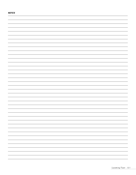